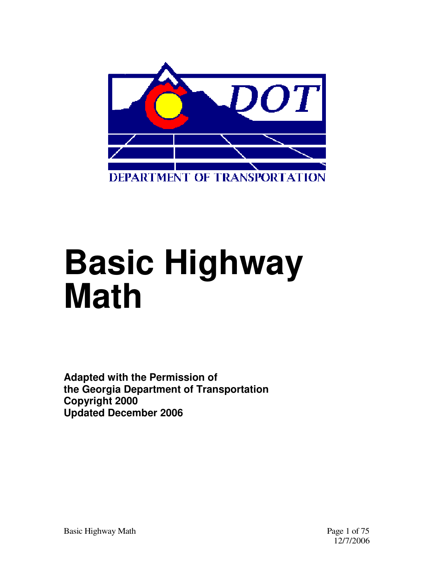

# **Basic Highway Math**

**Adapted with the Permission of the Georgia Department of Transportation Copyright 2000 Updated December 2006**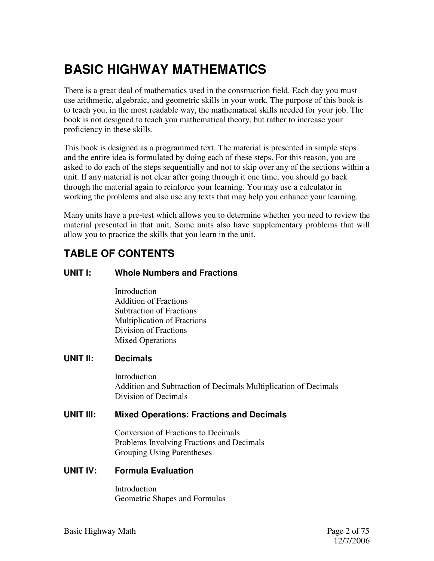# **BASIC HIGHWAY MATHEMATICS**

There is a great deal of mathematics used in the construction field. Each day you must use arithmetic, algebraic, and geometric skills in your work. The purpose of this book is to teach you, in the most readable way, the mathematical skills needed for your job. The book is not designed to teach you mathematical theory, but rather to increase your proficiency in these skills.

This book is designed as a programmed text. The material is presented in simple steps and the entire idea is formulated by doing each of these steps. For this reason, you are asked to do each of the steps sequentially and not to skip over any of the sections within a unit. If any material is not clear after going through it one time, you should go back through the material again to reinforce your learning. You may use a calculator in working the problems and also use any texts that may help you enhance your learning.

Many units have a pre-test which allows you to determine whether you need to review the material presented in that unit. Some units also have supplementary problems that will allow you to practice the skills that you learn in the unit.

#### **TABLE OF CONTENTS**

#### **UNIT I: Whole Numbers and Fractions**

Introduction Addition of Fractions Subtraction of Fractions Multiplication of Fractions Division of Fractions Mixed Operations

#### **UNIT II: Decimals**

**Introduction** Addition and Subtraction of Decimals Multiplication of Decimals Division of Decimals

#### **UNIT III: Mixed Operations: Fractions and Decimals**

Conversion of Fractions to Decimals Problems Involving Fractions and Decimals Grouping Using Parentheses

#### **UNIT IV: Formula Evaluation**

Introduction Geometric Shapes and Formulas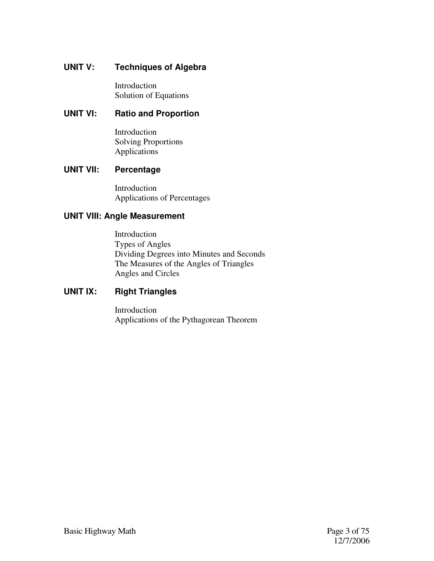#### **UNIT V: Techniques of Algebra**

Introduction Solution of Equations

#### **UNIT VI: Ratio and Proportion**

Introduction Solving Proportions Applications

#### **UNIT VII: Percentage**

Introduction Applications of Percentages

#### **UNIT VIII: Angle Measurement**

Introduction Types of Angles Dividing Degrees into Minutes and Seconds The Measures of the Angles of Triangles Angles and Circles

#### **UNIT IX: Right Triangles**

Introduction Applications of the Pythagorean Theorem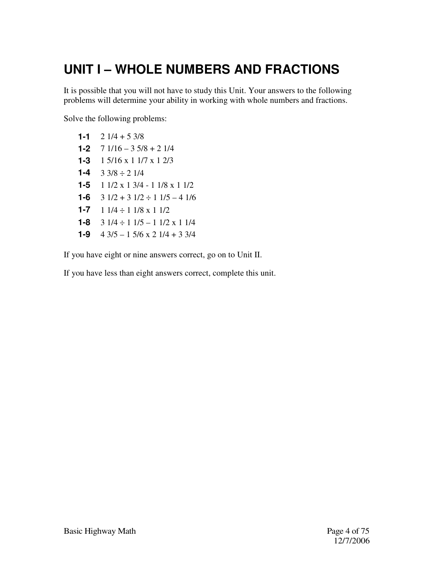# **UNIT I – WHOLE NUMBERS AND FRACTIONS**

It is possible that you will not have to study this Unit. Your answers to the following problems will determine your ability in working with whole numbers and fractions.

Solve the following problems:

1-1  $2 \frac{1}{4} + 5 \frac{3}{8}$ **1-2** 7 1/16 – 3 5/8 + 2 1/4 **1-3** 1 5/16 x 1 1/7 x 1 2/3 1-4  $3 \frac{3}{8} \div 2 \frac{1}{4}$ **1-5** 1 1/2 x 1 3/4 - 1 1/8 x 1 1/2 **1-6**  $3 \frac{1}{2} + 3 \frac{1}{2} \div 1 \frac{1}{5} - 4 \frac{1}{6}$ **1-7** 1 1/4 ÷ 1 1/8 x 1 1/2 **1-8**  $3 \frac{1}{4} \div 1 \frac{1}{5} - 1 \frac{1}{2} \times 1 \frac{1}{4}$ **1-9** 4 3/5 – 1 5/6 x 2 1/4 + 3 3/4

If you have eight or nine answers correct, go on to Unit II.

If you have less than eight answers correct, complete this unit.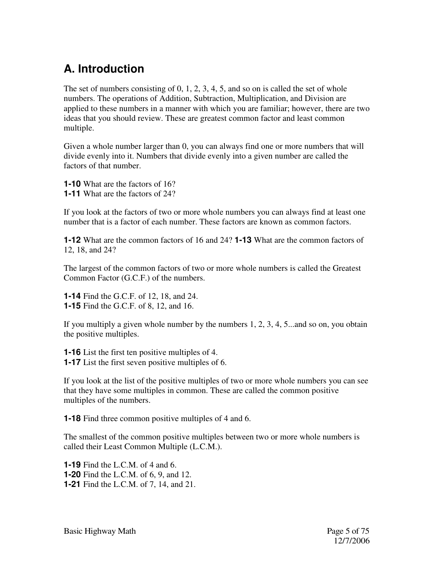## **A. Introduction**

The set of numbers consisting of 0, 1, 2, 3, 4, 5, and so on is called the set of whole numbers. The operations of Addition, Subtraction, Multiplication, and Division are applied to these numbers in a manner with which you are familiar; however, there are two ideas that you should review. These are greatest common factor and least common multiple.

Given a whole number larger than 0, you can always find one or more numbers that will divide evenly into it. Numbers that divide evenly into a given number are called the factors of that number.

**1-10** What are the factors of 16? **1-11** What are the factors of 24?

If you look at the factors of two or more whole numbers you can always find at least one number that is a factor of each number. These factors are known as common factors.

**1-12** What are the common factors of 16 and 24? **1-13** What are the common factors of 12, 18, and 24?

The largest of the common factors of two or more whole numbers is called the Greatest Common Factor (G.C.F.) of the numbers.

**1-14** Find the G.C.F. of 12, 18, and 24. **1-15** Find the G.C.F. of 8, 12, and 16.

If you multiply a given whole number by the numbers 1, 2, 3, 4, 5...and so on, you obtain the positive multiples.

**1-16** List the first ten positive multiples of 4. **1-17** List the first seven positive multiples of 6.

If you look at the list of the positive multiples of two or more whole numbers you can see that they have some multiples in common. These are called the common positive multiples of the numbers.

**1-18** Find three common positive multiples of 4 and 6.

The smallest of the common positive multiples between two or more whole numbers is called their Least Common Multiple (L.C.M.).

**1-19** Find the L.C.M. of 4 and 6. **1-20** Find the L.C.M. of 6, 9, and 12. **1-21** Find the L.C.M. of 7, 14, and 21.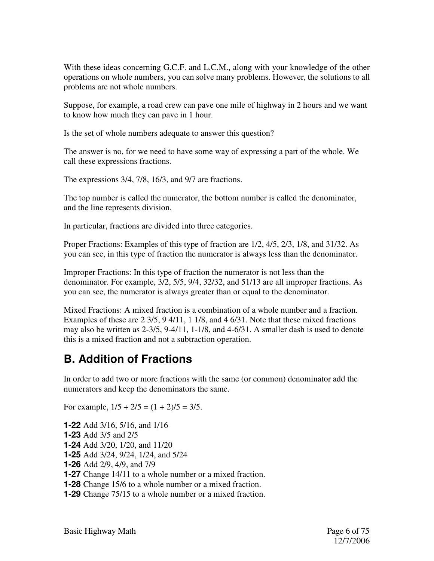With these ideas concerning G.C.F. and L.C.M., along with your knowledge of the other operations on whole numbers, you can solve many problems. However, the solutions to all problems are not whole numbers.

Suppose, for example, a road crew can pave one mile of highway in 2 hours and we want to know how much they can pave in 1 hour.

Is the set of whole numbers adequate to answer this question?

The answer is no, for we need to have some way of expressing a part of the whole. We call these expressions fractions.

The expressions 3/4, 7/8, 16/3, and 9/7 are fractions.

The top number is called the numerator, the bottom number is called the denominator, and the line represents division.

In particular, fractions are divided into three categories.

Proper Fractions: Examples of this type of fraction are 1/2, 4/5, 2/3, 1/8, and 31/32. As you can see, in this type of fraction the numerator is always less than the denominator.

Improper Fractions: In this type of fraction the numerator is not less than the denominator. For example, 3/2, 5/5, 9/4, 32/32, and 51/13 are all improper fractions. As you can see, the numerator is always greater than or equal to the denominator.

Mixed Fractions: A mixed fraction is a combination of a whole number and a fraction. Examples of these are 2 3/5, 9 4/11, 1 1/8, and 4 6/31. Note that these mixed fractions may also be written as 2-3/5, 9-4/11, 1-1/8, and 4-6/31. A smaller dash is used to denote this is a mixed fraction and not a subtraction operation.

#### **B. Addition of Fractions**

In order to add two or more fractions with the same (or common) denominator add the numerators and keep the denominators the same.

For example,  $1/5 + 2/5 = (1 + 2)/5 = 3/5$ .

**1-22** Add 3/16, 5/16, and 1/16 **1-23** Add 3/5 and 2/5 **1-24** Add 3/20, 1/20, and 11/20 **1-25** Add 3/24, 9/24, 1/24, and 5/24 **1-26** Add 2/9, 4/9, and 7/9 **1-27** Change 14/11 to a whole number or a mixed fraction. **1-28** Change 15/6 to a whole number or a mixed fraction. **1-29** Change 75/15 to a whole number or a mixed fraction.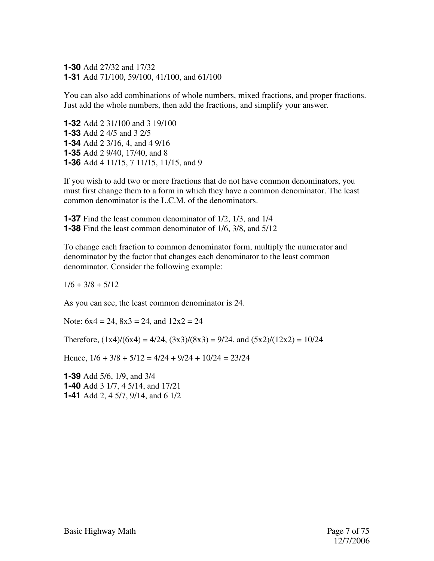**1-30** Add 27/32 and 17/32 **1-31** Add 71/100, 59/100, 41/100, and 61/100

You can also add combinations of whole numbers, mixed fractions, and proper fractions. Just add the whole numbers, then add the fractions, and simplify your answer.

**1-32** Add 2 31/100 and 3 19/100 **1-33** Add 2 4/5 and 3 2/5 **1-34** Add 2 3/16, 4, and 4 9/16 **1-35** Add 2 9/40, 17/40, and 8 **1-36** Add 4 11/15, 7 11/15, 11/15, and 9

If you wish to add two or more fractions that do not have common denominators, you must first change them to a form in which they have a common denominator. The least common denominator is the L.C.M. of the denominators.

**1-37** Find the least common denominator of 1/2, 1/3, and 1/4 **1-38** Find the least common denominator of 1/6, 3/8, and 5/12

To change each fraction to common denominator form, multiply the numerator and denominator by the factor that changes each denominator to the least common denominator. Consider the following example:

 $1/6 + 3/8 + 5/12$ 

As you can see, the least common denominator is 24.

Note:  $6x4 = 24$ ,  $8x3 = 24$ , and  $12x2 = 24$ 

Therefore,  $(1x4)/(6x4) = 4/24$ ,  $(3x3)/(8x3) = 9/24$ , and  $(5x2)/(12x2) = 10/24$ 

Hence,  $1/6 + 3/8 + 5/12 = 4/24 + 9/24 + 10/24 = 23/24$ 

**1-39** Add 5/6, 1/9, and 3/4 **1-40** Add 3 1/7, 4 5/14, and 17/21 **1-41** Add 2, 4 5/7, 9/14, and 6 1/2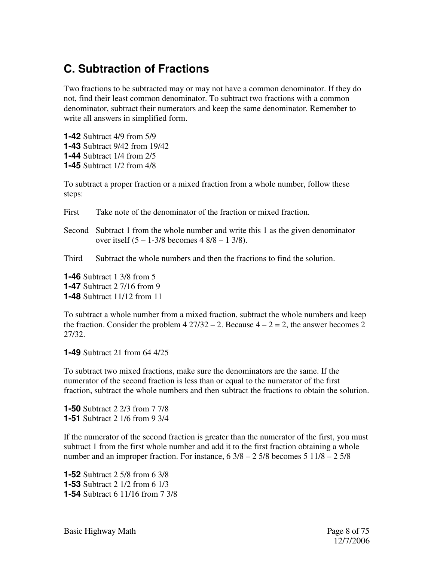#### **C. Subtraction of Fractions**

Two fractions to be subtracted may or may not have a common denominator. If they do not, find their least common denominator. To subtract two fractions with a common denominator, subtract their numerators and keep the same denominator. Remember to write all answers in simplified form.

**1-42** Subtract 4/9 from 5/9 **1-43** Subtract 9/42 from 19/42 **1-44** Subtract 1/4 from 2/5 **1-45** Subtract 1/2 from 4/8

To subtract a proper fraction or a mixed fraction from a whole number, follow these steps:

First Take note of the denominator of the fraction or mixed fraction.

Second Subtract 1 from the whole number and write this 1 as the given denominator over itself (5 – 1-3/8 becomes 4 8/8 – 1 3/8).

Third Subtract the whole numbers and then the fractions to find the solution.

**1-46** Subtract 1 3/8 from 5 **1-47** Subtract 2 7/16 from 9 **1-48** Subtract 11/12 from 11

To subtract a whole number from a mixed fraction, subtract the whole numbers and keep the fraction. Consider the problem  $4\frac{27}{32} - 2$ . Because  $4 - 2 = 2$ , the answer becomes 2 27/32.

**1-49** Subtract 21 from 64 4/25

To subtract two mixed fractions, make sure the denominators are the same. If the numerator of the second fraction is less than or equal to the numerator of the first fraction, subtract the whole numbers and then subtract the fractions to obtain the solution.

**1-50** Subtract 2 2/3 from 7 7/8 **1-51** Subtract 2 1/6 from 9 3/4

If the numerator of the second fraction is greater than the numerator of the first, you must subtract 1 from the first whole number and add it to the first fraction obtaining a whole number and an improper fraction. For instance, 6 3/8 – 2 5/8 becomes 5 11/8 – 2 5/8

**1-52** Subtract 2 5/8 from 6 3/8 **1-53** Subtract 2 1/2 from 6 1/3 **1-54** Subtract 6 11/16 from 7 3/8

Basic Highway Math **Page 8 of 75**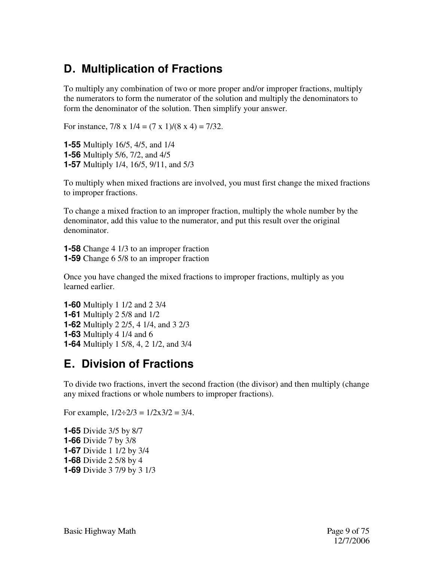#### **D. Multiplication of Fractions**

To multiply any combination of two or more proper and/or improper fractions, multiply the numerators to form the numerator of the solution and multiply the denominators to form the denominator of the solution. Then simplify your answer.

For instance,  $7/8 \times 1/4 = (7 \times 1)/(8 \times 4) = 7/32$ .

**1-55** Multiply 16/5, 4/5, and 1/4 **1-56** Multiply 5/6, 7/2, and 4/5 **1-57** Multiply 1/4, 16/5, 9/11, and 5/3

To multiply when mixed fractions are involved, you must first change the mixed fractions to improper fractions.

To change a mixed fraction to an improper fraction, multiply the whole number by the denominator, add this value to the numerator, and put this result over the original denominator.

**1-58** Change 4 1/3 to an improper fraction **1-59** Change 6 5/8 to an improper fraction

Once you have changed the mixed fractions to improper fractions, multiply as you learned earlier.

**1-60** Multiply 1 1/2 and 2 3/4 **1-61** Multiply 2 5/8 and 1/2 **1-62** Multiply 2 2/5, 4 1/4, and 3 2/3 **1-63** Multiply 4 1/4 and 6 **1-64** Multiply 1 5/8, 4, 2 1/2, and 3/4

#### **E. Division of Fractions**

To divide two fractions, invert the second fraction (the divisor) and then multiply (change any mixed fractions or whole numbers to improper fractions).

For example,  $1/2 \div 2/3 = 1/2x3/2 = 3/4$ .

**1-65** Divide 3/5 by 8/7 **1-66** Divide 7 by 3/8 **1-67** Divide 1 1/2 by 3/4 **1-68** Divide 2 5/8 by 4 **1-69** Divide 3 7/9 by 3 1/3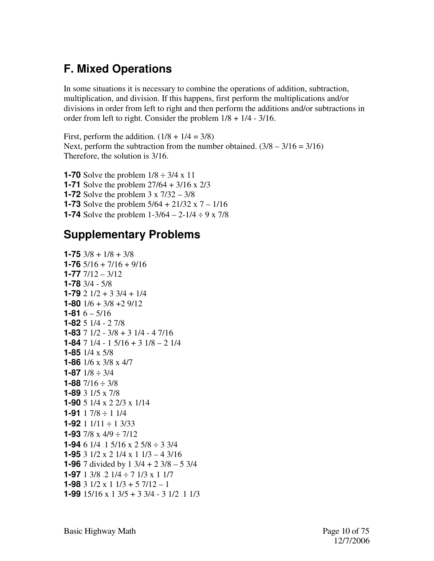## **F. Mixed Operations**

In some situations it is necessary to combine the operations of addition, subtraction, multiplication, and division. If this happens, first perform the multiplications and/or divisions in order from left to right and then perform the additions and/or subtractions in order from left to right. Consider the problem 1/8 + 1/4 - 3/16.

First, perform the addition.  $(1/8 + 1/4 = 3/8)$ Next, perform the subtraction from the number obtained.  $(3/8 - 3/16 = 3/16)$ Therefore, the solution is 3/16.

**1-70** Solve the problem  $1/8 \div 3/4 \times 11$ **1-71** Solve the problem 27/64 + 3/16 x 2/3 **1-72** Solve the problem 3 x 7/32 – 3/8 **1-73** Solve the problem  $5/64 + 21/32 \times 7 - 1/16$ **1-74** Solve the problem  $1-3/64 - 2-1/4 \div 9 \times 7/8$ 

#### **Supplementary Problems**

```
1-75 3/8 + 1/8 + 3/81-76 5/16 + 7/16 + 9/16 
1-77 7/12 – 3/12 
1-78 3/4 - 5/8 
1-79 2 1/2 + 3 3/4 + 1/4 
1-80 1/6 + 3/8 +2 9/12 
1-81 6 - \frac{5}{16}1-82 5 1/4 - 2 7/8 
1-83 7 1/2 - 3/8 + 3 1/4 - 4 7/16 
1-84 7 1/4 - 1 5/16 + 3 1/8 – 2 1/4 
1-85 1/4 x 5/8 
1-86 1/6 x 3/8 x 4/7 
1-87 1/8 \div 3/41-88 7/16 \div 3/81-89 3 1/5 x 7/8 
1-90 5 1/4 x 2 2/3 x 1/14 
1-91 1 7/8 ÷ 1 1/4 
1-92 1 1/11 ÷ 1 3/33 
1-93 7/8 x 4/9 ÷ 7/12 
1-94 6 1/4 \cdot 1 5/16 x 2 5/8 \div 3 3/4
1-95 3 1/2 x 2 1/4 x 1 1/3 – 4 3/16 
1-96 7 divided by 1 3/4 + 2 3/8 – 5 3/4 
1-97 1 3/8 \cdot 2 1/4 \div 7 1/3 x 1 1/7
1-98 3 \frac{1}{2} \times 1 \frac{1}{3} + 5 \frac{7}{12} - 11-99 15/16 \times 13/5 + 33/4 - 31/2 <sup>1</sup>/3
```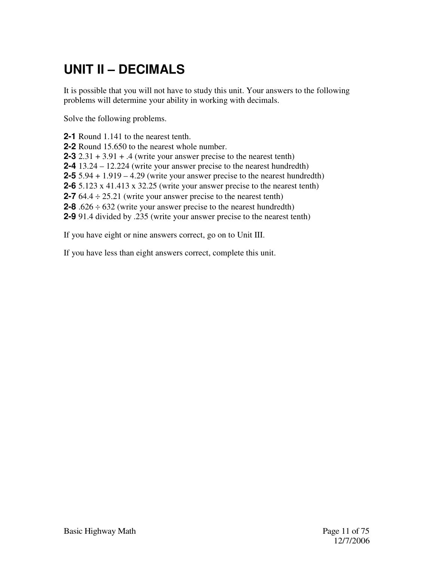# **UNIT II – DECIMALS**

It is possible that you will not have to study this unit. Your answers to the following problems will determine your ability in working with decimals.

Solve the following problems.

**2-1** Round 1.141 to the nearest tenth. **2-2** Round 15.650 to the nearest whole number. **2-3**  $2.31 + 3.91 + .4$  (write your answer precise to the nearest tenth) **2-4** 13.24 – 12.224 (write your answer precise to the nearest hundredth) **2-5** 5.94 + 1.919 – 4.29 (write your answer precise to the nearest hundredth) **2-6** 5.123 x 41.413 x 32.25 (write your answer precise to the nearest tenth) **2-7** 64.4 ÷ 25.21 (write your answer precise to the nearest tenth) **2-8** .626  $\div$  632 (write your answer precise to the nearest hundredth) **2-9** 91.4 divided by .235 (write your answer precise to the nearest tenth)

If you have eight or nine answers correct, go on to Unit III.

If you have less than eight answers correct, complete this unit.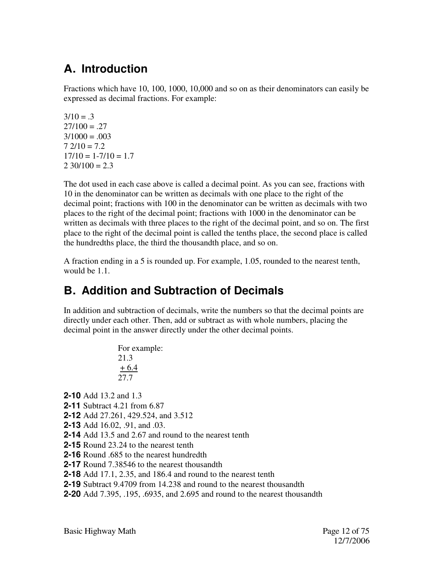## **A. Introduction**

Fractions which have 10, 100, 1000, 10,000 and so on as their denominators can easily be expressed as decimal fractions. For example:

 $3/10 = .3$  $27/100 = 0.27$  $3/1000 = .003$  $7.2/10 = 7.2$  $17/10 = 1 - 7/10 = 1.7$  $2,30/100 = 2.3$ 

The dot used in each case above is called a decimal point. As you can see, fractions with 10 in the denominator can be written as decimals with one place to the right of the decimal point; fractions with 100 in the denominator can be written as decimals with two places to the right of the decimal point; fractions with 1000 in the denominator can be written as decimals with three places to the right of the decimal point, and so on. The first place to the right of the decimal point is called the tenths place, the second place is called the hundredths place, the third the thousandth place, and so on.

A fraction ending in a 5 is rounded up. For example, 1.05, rounded to the nearest tenth, would be 1.1.

## **B. Addition and Subtraction of Decimals**

In addition and subtraction of decimals, write the numbers so that the decimal points are directly under each other. Then, add or subtract as with whole numbers, placing the decimal point in the answer directly under the other decimal points.

> For example: 21.3 + 6.4 27.7

**2-10** Add 13.2 and 1.3

- **2-11** Subtract 4.21 from 6.87
- **2-12** Add 27.261, 429.524, and 3.512
- **2-13** Add 16.02, .91, and .03.
- **2-14** Add 13.5 and 2.67 and round to the nearest tenth
- **2-15** Round 23.24 to the nearest tenth
- **2-16** Round .685 to the nearest hundredth
- **2-17** Round 7.38546 to the nearest thousandth
- **2-18** Add 17.1, 2.35, and 186.4 and round to the nearest tenth
- **2-19** Subtract 9.4709 from 14.238 and round to the nearest thousandth
- **2-20** Add 7.395, .195, .6935, and 2.695 and round to the nearest thousandth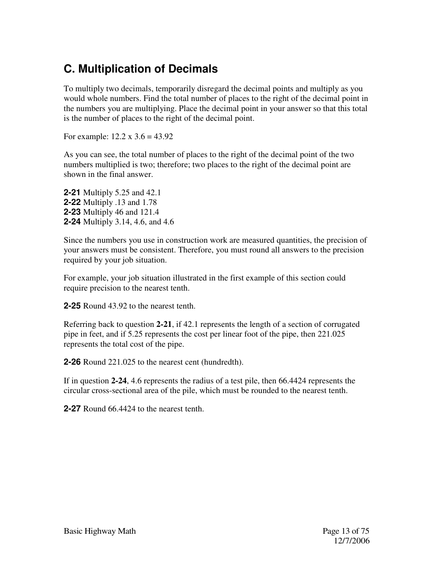#### **C. Multiplication of Decimals**

To multiply two decimals, temporarily disregard the decimal points and multiply as you would whole numbers. Find the total number of places to the right of the decimal point in the numbers you are multiplying. Place the decimal point in your answer so that this total is the number of places to the right of the decimal point.

For example:  $12.2 \times 3.6 = 43.92$ 

As you can see, the total number of places to the right of the decimal point of the two numbers multiplied is two; therefore; two places to the right of the decimal point are shown in the final answer.

**2-21** Multiply 5.25 and 42.1 **2-22** Multiply .13 and 1.78 **2-23** Multiply 46 and 121.4 **2-24** Multiply 3.14, 4.6, and 4.6

Since the numbers you use in construction work are measured quantities, the precision of your answers must be consistent. Therefore, you must round all answers to the precision required by your job situation.

For example, your job situation illustrated in the first example of this section could require precision to the nearest tenth.

**2-25** Round 43.92 to the nearest tenth.

Referring back to question **2-21**, if 42.1 represents the length of a section of corrugated pipe in feet, and if 5.25 represents the cost per linear foot of the pipe, then 221.025 represents the total cost of the pipe.

**2-26** Round 221.025 to the nearest cent (hundredth).

If in question **2-24**, 4.6 represents the radius of a test pile, then 66.4424 represents the circular cross-sectional area of the pile, which must be rounded to the nearest tenth.

**2-27** Round 66.4424 to the nearest tenth.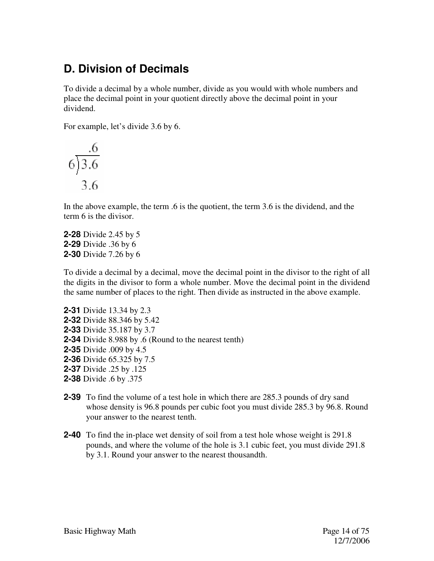#### **D. Division of Decimals**

To divide a decimal by a whole number, divide as you would with whole numbers and place the decimal point in your quotient directly above the decimal point in your dividend.

For example, let's divide 3.6 by 6.

$$
\begin{array}{c}\n6 \\
6 \overline{)3.6} \\
3.6\n\end{array}
$$

In the above example, the term .6 is the quotient, the term 3.6 is the dividend, and the term 6 is the divisor.

**2-28** Divide 2.45 by 5 **2-29** Divide .36 by 6 **2-30** Divide 7.26 by 6

To divide a decimal by a decimal, move the decimal point in the divisor to the right of all the digits in the divisor to form a whole number. Move the decimal point in the dividend the same number of places to the right. Then divide as instructed in the above example.

**2-31** Divide 13.34 by 2.3 **2-32** Divide 88.346 by 5.42 **2-33** Divide 35.187 by 3.7 **2-34** Divide 8.988 by .6 (Round to the nearest tenth) **2-35** Divide .009 by 4.5 **2-36** Divide 65.325 by 7.5 **2-37** Divide .25 by .125 **2-38** Divide .6 by .375

- **2-39** To find the volume of a test hole in which there are 285.3 pounds of dry sand whose density is 96.8 pounds per cubic foot you must divide 285.3 by 96.8. Round your answer to the nearest tenth.
- **2-40** To find the in-place wet density of soil from a test hole whose weight is 291.8 pounds, and where the volume of the hole is 3.1 cubic feet, you must divide 291.8 by 3.1. Round your answer to the nearest thousandth.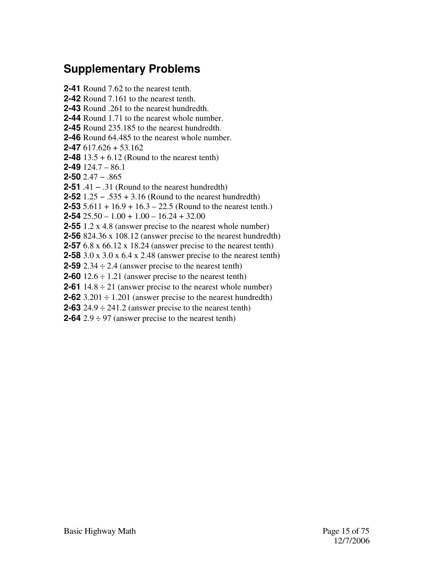#### **Supplementary Problems**

**2-41** Round 7.62 to the nearest tenth. **2-42** Round 7.161 to the nearest tenth. **2-43** Round .261 to the nearest hundredth. **2-44** Round 1.71 to the nearest whole number. **2-45** Round 235.185 to the nearest hundredth. **2-46** Round 64.485 to the nearest whole number. **2-47** 617.626 + 53.162 **2-48** 13.5 + 6.12 (Round to the nearest tenth) **2-49** 124.7 – 86.1 **2-50** 2.47 − .865 **2-51** .41 − .31 (Round to the nearest hundredth) **2-52** 1.25 − .535 + 3.16 (Round to the nearest hundredth) **2-53** 5.611 + 16.9 + 16.3 – 22.5 (Round to the nearest tenth.) **2-54** 25.50 – 1.00 + 1.00 – 16.24 + 32.00 **2-55** 1.2 x 4.8 (answer precise to the nearest whole number) **2-56** 824.36 x 108.12 (answer precise to the nearest hundredth) **2-57** 6.8 x 66.12 x 18.24 (answer precise to the nearest tenth) **2-58** 3.0 x 3.0 x 6.4 x 2.48 (answer precise to the nearest tenth) **2-59**  $2.34 \div 2.4$  (answer precise to the nearest tenth) **2-60**  $12.6 \div 1.21$  (answer precise to the nearest tenth) **2-61** 14.8  $\div$  21 (answer precise to the nearest whole number) **2-62**  $3.201 \div 1.201$  (answer precise to the nearest hundredth) **2-63**  $24.9 \div 241.2$  (answer precise to the nearest tenth) **2-64**  $2.9 \div 97$  (answer precise to the nearest tenth)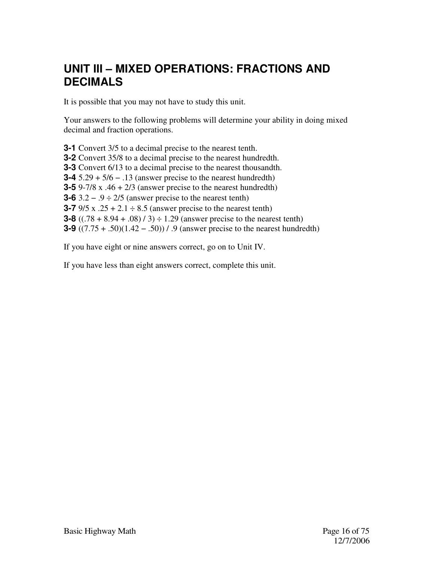#### **UNIT III – MIXED OPERATIONS: FRACTIONS AND DECIMALS**

It is possible that you may not have to study this unit.

Your answers to the following problems will determine your ability in doing mixed decimal and fraction operations.

**3-1** Convert 3/5 to a decimal precise to the nearest tenth. **3-2** Convert 35/8 to a decimal precise to the nearest hundredth. **3-3** Convert 6/13 to a decimal precise to the nearest thousandth. **3-4** 5.29 + 5/6 − .13 (answer precise to the nearest hundredth) **3-5** 9-7/8 x  $.46 + 2/3$  (answer precise to the nearest hundredth) **3-6** 3.2 − .9 ÷ 2/5 (answer precise to the nearest tenth) **3-7** 9/5 x  $.25 + 2.1 \div 8.5$  (answer precise to the nearest tenth) **3-8**  $((.78 + 8.94 + .08) / 3) \div 1.29$  (answer precise to the nearest tenth) **3-9** ((7.75 + .50)(1.42 − .50)) / .9 (answer precise to the nearest hundredth)

If you have eight or nine answers correct, go on to Unit IV.

If you have less than eight answers correct, complete this unit.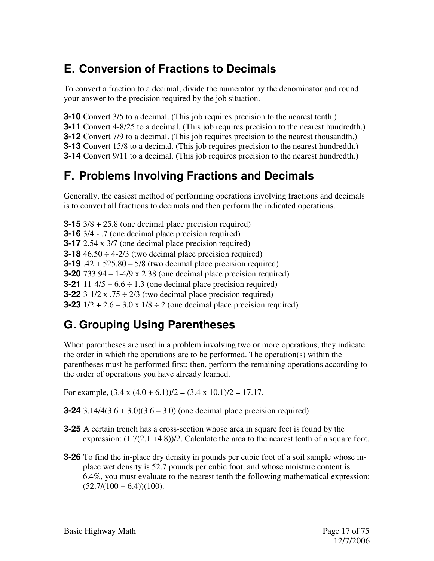#### **E. Conversion of Fractions to Decimals**

To convert a fraction to a decimal, divide the numerator by the denominator and round your answer to the precision required by the job situation.

**3-10** Convert 3/5 to a decimal. (This job requires precision to the nearest tenth.)

**3-11** Convert 4-8/25 to a decimal. (This job requires precision to the nearest hundredth.)

**3-12** Convert 7/9 to a decimal. (This job requires precision to the nearest thousandth.)

**3-13** Convert 15/8 to a decimal. (This job requires precision to the nearest hundredth.)

**3-14** Convert 9/11 to a decimal. (This job requires precision to the nearest hundredth.)

## **F. Problems Involving Fractions and Decimals**

Generally, the easiest method of performing operations involving fractions and decimals is to convert all fractions to decimals and then perform the indicated operations.

**3-15** 3/8 + 25.8 (one decimal place precision required) **3-16** 3/4 - .7 (one decimal place precision required) **3-17** 2.54 x 3/7 (one decimal place precision required) **3-18**  $46.50 \div 4-2/3$  (two decimal place precision required) **3-19** .42 + 525.80 – 5/8 (two decimal place precision required) **3-20** 733.94 – 1-4/9 x 2.38 (one decimal place precision required) **3-21** 11-4/5 +  $6.6 \div 1.3$  (one decimal place precision required) **3-22** 3-1/2 x  $.75 \div 2/3$  (two decimal place precision required) **3-23**  $1/2 + 2.6 - 3.0 \times 1/8 \div 2$  (one decimal place precision required)

## **G. Grouping Using Parentheses**

When parentheses are used in a problem involving two or more operations, they indicate the order in which the operations are to be performed. The operation(s) within the parentheses must be performed first; then, perform the remaining operations according to the order of operations you have already learned.

For example,  $(3.4 \times (4.0 + 6.1))/2 = (3.4 \times 10.1)/2 = 17.17$ .

**3-24** 3.14/4(3.6 + 3.0)(3.6 – 3.0) (one decimal place precision required)

- **3-25** A certain trench has a cross-section whose area in square feet is found by the expression:  $(1.7(2.1 +4.8))/2$ . Calculate the area to the nearest tenth of a square foot.
- **3-26** To find the in-place dry density in pounds per cubic foot of a soil sample whose inplace wet density is 52.7 pounds per cubic foot, and whose moisture content is 6.4%, you must evaluate to the nearest tenth the following mathematical expression:  $(52.7/(100 + 6.4))(100)$ .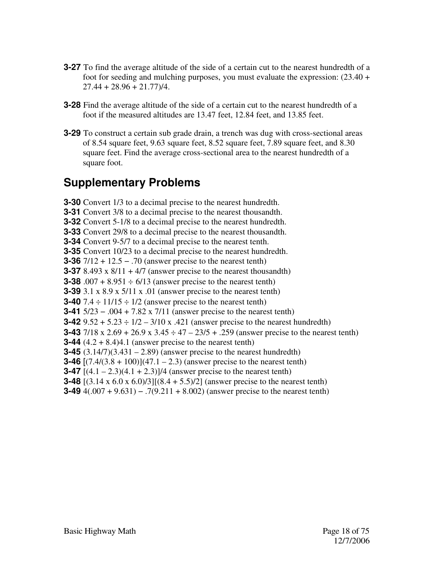- **3-27** To find the average altitude of the side of a certain cut to the nearest hundredth of a foot for seeding and mulching purposes, you must evaluate the expression: (23.40 +  $27.44 + 28.96 + 21.77$ )/4.
- **3-28** Find the average altitude of the side of a certain cut to the nearest hundredth of a foot if the measured altitudes are 13.47 feet, 12.84 feet, and 13.85 feet.
- **3-29** To construct a certain sub grade drain, a trench was dug with cross-sectional areas of 8.54 square feet, 9.63 square feet, 8.52 square feet, 7.89 square feet, and 8.30 square feet. Find the average cross-sectional area to the nearest hundredth of a square foot.

#### **Supplementary Problems**

**3-30** Convert 1/3 to a decimal precise to the nearest hundredth. **3-31** Convert 3/8 to a decimal precise to the nearest thousandth. **3-32** Convert 5-1/8 to a decimal precise to the nearest hundredth. **3-33** Convert 29/8 to a decimal precise to the nearest thousandth. **3-34** Convert 9-5/7 to a decimal precise to the nearest tenth. **3-35** Convert 10/23 to a decimal precise to the nearest hundredth. **3-36** 7/12 + 12.5 − .70 (answer precise to the nearest tenth) **3-37** 8.493 x  $8/11 + 4/7$  (answer precise to the nearest thousandth) **3-38** .007 + 8.951  $\div$  6/13 (answer precise to the nearest tenth) **3-39** 3.1 x 8.9 x 5/11 x .01 (answer precise to the nearest tenth) **3-40**  $7.4 \div 11/15 \div 1/2$  (answer precise to the nearest tenth) **3-41** 5/23 − .004 + 7.82 x 7/11 (answer precise to the nearest tenth) **3-42**  $9.52 + 5.23 \div 1/2 - 3/10 \times 421$  (answer precise to the nearest hundredth) **3-43** 7/18 x 2.69 + 26.9 x 3.45 ÷ 47 – 23/5 + .259 (answer precise to the nearest tenth) **3-44**  $(4.2 + 8.4)4.1$  (answer precise to the nearest tenth) **3-45** (3.14/7)(3.431 – 2.89) (answer precise to the nearest hundredth) **3-46**  $[(7.4/(3.8 + 100))](47.1 - 2.3)$  (answer precise to the nearest tenth) **3-47**  $[(4.1 - 2.3)(4.1 + 2.3)]/4$  (answer precise to the nearest tenth) **3-48** [(3.14 x 6.0 x 6.0)/3][(8.4 + 5.5)/2] (answer precise to the nearest tenth) **3-49** 4(.007 + 9.631) − .7(9.211 + 8.002) (answer precise to the nearest tenth)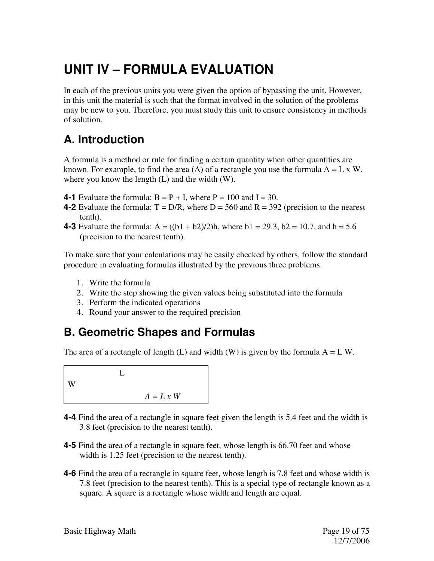# **UNIT IV – FORMULA EVALUATION**

In each of the previous units you were given the option of bypassing the unit. However, in this unit the material is such that the format involved in the solution of the problems may be new to you. Therefore, you must study this unit to ensure consistency in methods of solution.

## **A. Introduction**

A formula is a method or rule for finding a certain quantity when other quantities are known. For example, to find the area (A) of a rectangle you use the formula  $A = L \times W$ , where you know the length (L) and the width (W).

- **4-1** Evaluate the formula:  $B = P + I$ , where  $P = 100$  and  $I = 30$ .
- **4-2** Evaluate the formula:  $T = D/R$ , where  $D = 560$  and  $R = 392$  (precision to the nearest tenth).
- **4-3** Evaluate the formula:  $A = ((b1 + b2)/2)h$ , where  $b1 = 29.3$ ,  $b2 = 10.7$ , and  $h = 5.6$ (precision to the nearest tenth).

To make sure that your calculations may be easily checked by others, follow the standard procedure in evaluating formulas illustrated by the previous three problems.

- 1. Write the formula
- 2. Write the step showing the given values being substituted into the formula
- 3. Perform the indicated operations
- 4. Round your answer to the required precision

#### **B. Geometric Shapes and Formulas**

The area of a rectangle of length (L) and width (W) is given by the formula  $A = L W$ .

 $\mathbf{L}$ W  $A = L x W$ 

- **4-4** Find the area of a rectangle in square feet given the length is 5.4 feet and the width is 3.8 feet (precision to the nearest tenth).
- **4-5** Find the area of a rectangle in square feet, whose length is 66.70 feet and whose width is 1.25 feet (precision to the nearest tenth).
- **4-6** Find the area of a rectangle in square feet, whose length is 7.8 feet and whose width is 7.8 feet (precision to the nearest tenth). This is a special type of rectangle known as a square. A square is a rectangle whose width and length are equal.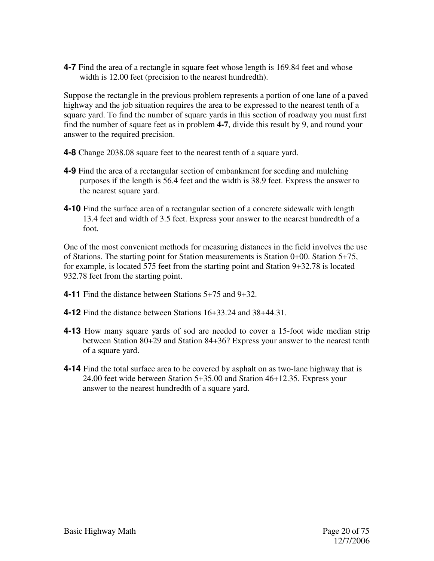**4-7** Find the area of a rectangle in square feet whose length is 169.84 feet and whose width is 12.00 feet (precision to the nearest hundredth).

Suppose the rectangle in the previous problem represents a portion of one lane of a paved highway and the job situation requires the area to be expressed to the nearest tenth of a square yard. To find the number of square yards in this section of roadway you must first find the number of square feet as in problem **4-7**, divide this result by 9, and round your answer to the required precision.

- **4-8** Change 2038.08 square feet to the nearest tenth of a square yard.
- **4-9** Find the area of a rectangular section of embankment for seeding and mulching purposes if the length is 56.4 feet and the width is 38.9 feet. Express the answer to the nearest square yard.
- **4-10** Find the surface area of a rectangular section of a concrete sidewalk with length 13.4 feet and width of 3.5 feet. Express your answer to the nearest hundredth of a foot.

One of the most convenient methods for measuring distances in the field involves the use of Stations. The starting point for Station measurements is Station 0+00. Station 5+75, for example, is located 575 feet from the starting point and Station 9+32.78 is located 932.78 feet from the starting point.

- **4-11** Find the distance between Stations 5+75 and 9+32.
- **4-12** Find the distance between Stations 16+33.24 and 38+44.31.
- **4-13** How many square yards of sod are needed to cover a 15-foot wide median strip between Station 80+29 and Station 84+36? Express your answer to the nearest tenth of a square yard.
- **4-14** Find the total surface area to be covered by asphalt on as two-lane highway that is 24.00 feet wide between Station 5+35.00 and Station 46+12.35. Express your answer to the nearest hundredth of a square yard.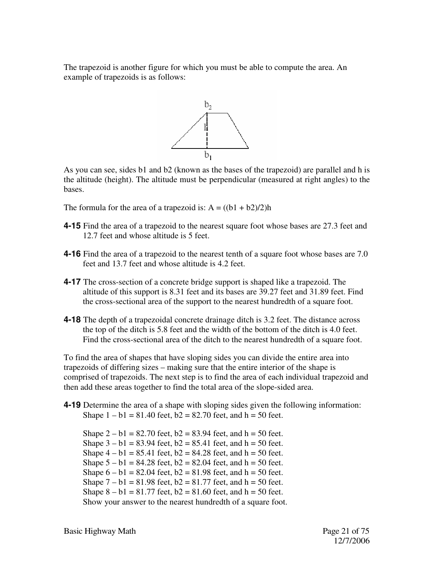The trapezoid is another figure for which you must be able to compute the area. An example of trapezoids is as follows:



As you can see, sides b1 and b2 (known as the bases of the trapezoid) are parallel and h is the altitude (height). The altitude must be perpendicular (measured at right angles) to the bases.

The formula for the area of a trapezoid is:  $A = ((b1 + b2)/2)h$ 

- **4-15** Find the area of a trapezoid to the nearest square foot whose bases are 27.3 feet and 12.7 feet and whose altitude is 5 feet.
- **4-16** Find the area of a trapezoid to the nearest tenth of a square foot whose bases are 7.0 feet and 13.7 feet and whose altitude is 4.2 feet.
- **4-17** The cross-section of a concrete bridge support is shaped like a trapezoid. The altitude of this support is 8.31 feet and its bases are 39.27 feet and 31.89 feet. Find the cross-sectional area of the support to the nearest hundredth of a square foot.
- **4-18** The depth of a trapezoidal concrete drainage ditch is 3.2 feet. The distance across the top of the ditch is 5.8 feet and the width of the bottom of the ditch is 4.0 feet. Find the cross-sectional area of the ditch to the nearest hundredth of a square foot.

To find the area of shapes that have sloping sides you can divide the entire area into trapezoids of differing sizes – making sure that the entire interior of the shape is comprised of trapezoids. The next step is to find the area of each individual trapezoid and then add these areas together to find the total area of the slope-sided area.

**4-19** Determine the area of a shape with sloping sides given the following information: Shape  $1 - b1 = 81.40$  feet,  $b2 = 82.70$  feet, and  $h = 50$  feet.

Shape  $2 - b1 = 82.70$  feet,  $b2 = 83.94$  feet, and  $h = 50$  feet. Shape  $3 - b1 = 83.94$  feet,  $b2 = 85.41$  feet, and  $h = 50$  feet. Shape  $4 - b1 = 85.41$  feet,  $b2 = 84.28$  feet, and  $h = 50$  feet. Shape  $5 - b1 = 84.28$  feet,  $b2 = 82.04$  feet, and  $h = 50$  feet. Shape  $6 - b1 = 82.04$  feet,  $b2 = 81.98$  feet, and  $h = 50$  feet. Shape  $7 - b1 = 81.98$  feet,  $b2 = 81.77$  feet, and  $h = 50$  feet. Shape  $8 - b1 = 81.77$  feet,  $b2 = 81.60$  feet, and  $h = 50$  feet. Show your answer to the nearest hundredth of a square foot.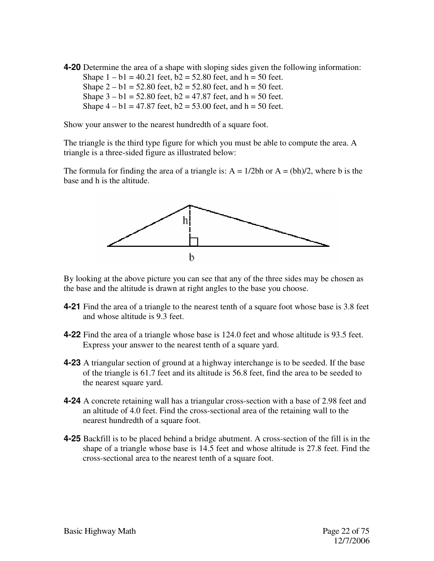**4-20** Determine the area of a shape with sloping sides given the following information: Shape  $1 - b1 = 40.21$  feet,  $b2 = 52.80$  feet, and  $h = 50$  feet. Shape  $2 - b1 = 52.80$  feet,  $b2 = 52.80$  feet, and  $h = 50$  feet. Shape  $3 - b1 = 52.80$  feet,  $b2 = 47.87$  feet, and  $h = 50$  feet. Shape  $4 - b1 = 47.87$  feet,  $b2 = 53.00$  feet, and  $h = 50$  feet.

Show your answer to the nearest hundredth of a square foot.

The triangle is the third type figure for which you must be able to compute the area. A triangle is a three-sided figure as illustrated below:

The formula for finding the area of a triangle is:  $A = 1/2bh$  or  $A = (bh)/2$ , where b is the base and h is the altitude.



By looking at the above picture you can see that any of the three sides may be chosen as the base and the altitude is drawn at right angles to the base you choose.

- **4-21** Find the area of a triangle to the nearest tenth of a square foot whose base is 3.8 feet and whose altitude is 9.3 feet.
- **4-22** Find the area of a triangle whose base is 124.0 feet and whose altitude is 93.5 feet. Express your answer to the nearest tenth of a square yard.
- **4-23** A triangular section of ground at a highway interchange is to be seeded. If the base of the triangle is 61.7 feet and its altitude is 56.8 feet, find the area to be seeded to the nearest square yard.
- **4-24** A concrete retaining wall has a triangular cross-section with a base of 2.98 feet and an altitude of 4.0 feet. Find the cross-sectional area of the retaining wall to the nearest hundredth of a square foot.
- **4-25** Backfill is to be placed behind a bridge abutment. A cross-section of the fill is in the shape of a triangle whose base is 14.5 feet and whose altitude is 27.8 feet. Find the cross-sectional area to the nearest tenth of a square foot.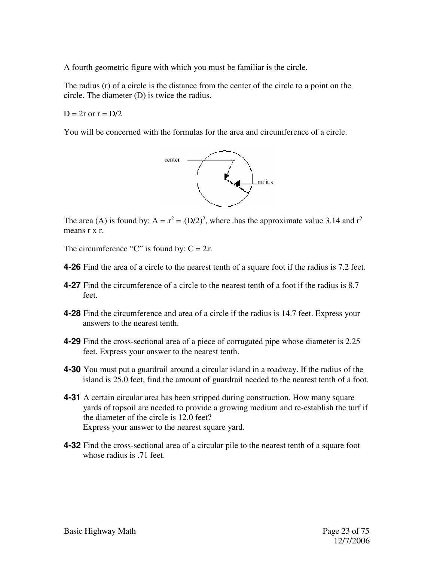A fourth geometric figure with which you must be familiar is the circle.

The radius (r) of a circle is the distance from the center of the circle to a point on the circle. The diameter (D) is twice the radius.

 $D = 2r$  or  $r = D/2$ 

You will be concerned with the formulas for the area and circumference of a circle.



The area (A) is found by:  $A = x^2 = (D/2)^2$ , where thas the approximate value 3.14 and  $r^2$ means r x r.

The circumference "C" is found by:  $C = 2r$ .

- **4-26** Find the area of a circle to the nearest tenth of a square foot if the radius is 7.2 feet.
- **4-27** Find the circumference of a circle to the nearest tenth of a foot if the radius is 8.7 feet.
- **4-28** Find the circumference and area of a circle if the radius is 14.7 feet. Express your answers to the nearest tenth.
- **4-29** Find the cross-sectional area of a piece of corrugated pipe whose diameter is 2.25 feet. Express your answer to the nearest tenth.
- **4-30** You must put a guardrail around a circular island in a roadway. If the radius of the island is 25.0 feet, find the amount of guardrail needed to the nearest tenth of a foot.
- **4-31** A certain circular area has been stripped during construction. How many square yards of topsoil are needed to provide a growing medium and re-establish the turf if the diameter of the circle is 12.0 feet? Express your answer to the nearest square yard.
- **4-32** Find the cross-sectional area of a circular pile to the nearest tenth of a square foot whose radius is .71 feet.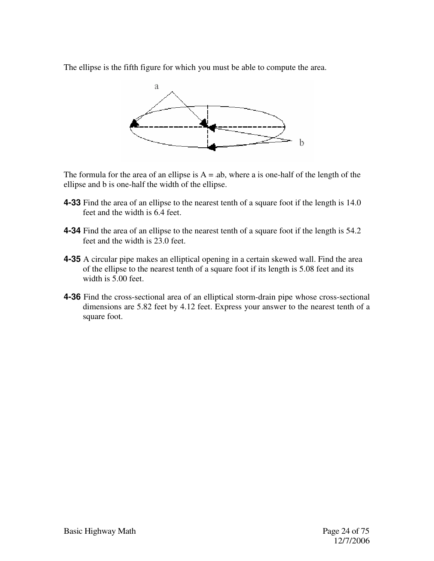The ellipse is the fifth figure for which you must be able to compute the area.



The formula for the area of an ellipse is  $A = ab$ , where a is one-half of the length of the ellipse and b is one-half the width of the ellipse.

- **4-33** Find the area of an ellipse to the nearest tenth of a square foot if the length is 14.0 feet and the width is 6.4 feet.
- **4-34** Find the area of an ellipse to the nearest tenth of a square foot if the length is 54.2 feet and the width is 23.0 feet.
- **4-35** A circular pipe makes an elliptical opening in a certain skewed wall. Find the area of the ellipse to the nearest tenth of a square foot if its length is 5.08 feet and its width is 5.00 feet.
- **4-36** Find the cross-sectional area of an elliptical storm-drain pipe whose cross-sectional dimensions are 5.82 feet by 4.12 feet. Express your answer to the nearest tenth of a square foot.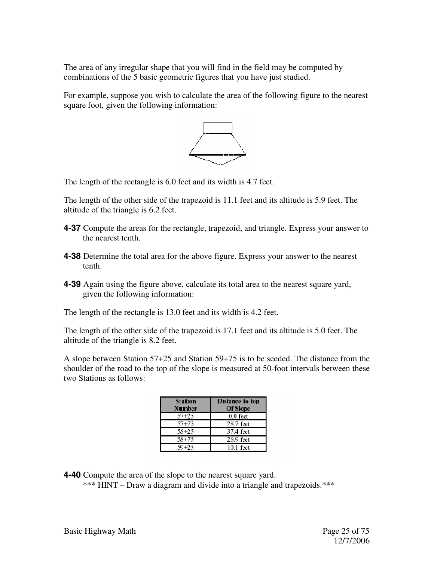The area of any irregular shape that you will find in the field may be computed by combinations of the 5 basic geometric figures that you have just studied.

For example, suppose you wish to calculate the area of the following figure to the nearest square foot, given the following information:



The length of the rectangle is 6.0 feet and its width is 4.7 feet.

The length of the other side of the trapezoid is 11.1 feet and its altitude is 5.9 feet. The altitude of the triangle is 6.2 feet.

- **4-37** Compute the areas for the rectangle, trapezoid, and triangle. Express your answer to the nearest tenth.
- **4-38** Determine the total area for the above figure. Express your answer to the nearest tenth.
- **4-39** Again using the figure above, calculate its total area to the nearest square yard, given the following information:

The length of the rectangle is 13.0 feet and its width is 4.2 feet.

The length of the other side of the trapezoid is 17.1 feet and its altitude is 5.0 feet. The altitude of the triangle is 8.2 feet.

A slope between Station 57+25 and Station 59+75 is to be seeded. The distance from the shoulder of the road to the top of the slope is measured at 50-foot intervals between these two Stations as follows:

| Station   | Distance to top |
|-----------|-----------------|
| Number    | Of Slope        |
| 57+25     | $0.0$ feet      |
| $57 + 75$ | 28.7 feet.      |
| 58+25     | 37.4 feet       |
| $58 + 75$ | 26.9 feet       |
| 59+25     | 10.1 feet       |

**4-40** Compute the area of the slope to the nearest square yard.

\*\*\* HINT – Draw a diagram and divide into a triangle and trapezoids.\*\*\*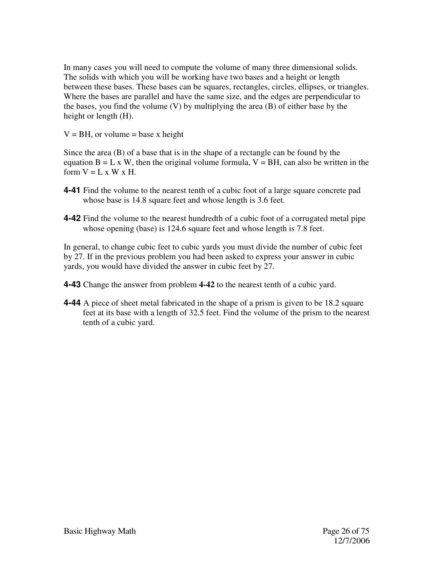In many cases you will need to compute the volume of many three dimensional solids. The solids with which you will be working have two bases and a height or length between these bases. These bases can be squares, rectangles, circles, ellipses, or triangles. Where the bases are parallel and have the same size, and the edges are perpendicular to the bases, you find the volume (V) by multiplying the area (B) of either base by the height or length (H).

 $V = BH$ , or volume = base x height

Since the area (B) of a base that is in the shape of a rectangle can be found by the equation  $B = L \times W$ , then the original volume formula,  $V = BH$ , can also be written in the form  $V = L \times W \times H$ .

- **4-41** Find the volume to the nearest tenth of a cubic foot of a large square concrete pad whose base is 14.8 square feet and whose length is 3.6 feet.
- **4-42** Find the volume to the nearest hundredth of a cubic foot of a corrugated metal pipe whose opening (base) is 124.6 square feet and whose length is 7.8 feet.

In general, to change cubic feet to cubic yards you must divide the number of cubic feet by 27. If in the previous problem you had been asked to express your answer in cubic yards, you would have divided the answer in cubic feet by 27.

**4-43** Change the answer from problem **4-42** to the nearest tenth of a cubic yard.

**4-44** A piece of sheet metal fabricated in the shape of a prism is given to be 18.2 square feet at its base with a length of 32.5 feet. Find the volume of the prism to the nearest tenth of a cubic yard.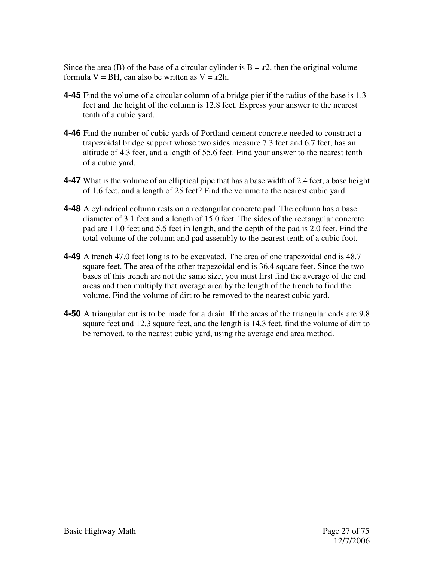Since the area (B) of the base of a circular cylinder is  $B = x^2$ , then the original volume formula  $V = BH$ , can also be written as  $V = r2h$ .

- **4-45** Find the volume of a circular column of a bridge pier if the radius of the base is 1.3 feet and the height of the column is 12.8 feet. Express your answer to the nearest tenth of a cubic yard.
- **4-46** Find the number of cubic yards of Portland cement concrete needed to construct a trapezoidal bridge support whose two sides measure 7.3 feet and 6.7 feet, has an altitude of 4.3 feet, and a length of 55.6 feet. Find your answer to the nearest tenth of a cubic yard.
- **4-47** What is the volume of an elliptical pipe that has a base width of 2.4 feet, a base height of 1.6 feet, and a length of 25 feet? Find the volume to the nearest cubic yard.
- **4-48** A cylindrical column rests on a rectangular concrete pad. The column has a base diameter of 3.1 feet and a length of 15.0 feet. The sides of the rectangular concrete pad are 11.0 feet and 5.6 feet in length, and the depth of the pad is 2.0 feet. Find the total volume of the column and pad assembly to the nearest tenth of a cubic foot.
- **4-49** A trench 47.0 feet long is to be excavated. The area of one trapezoidal end is 48.7 square feet. The area of the other trapezoidal end is 36.4 square feet. Since the two bases of this trench are not the same size, you must first find the average of the end areas and then multiply that average area by the length of the trench to find the volume. Find the volume of dirt to be removed to the nearest cubic yard.
- **4-50** A triangular cut is to be made for a drain. If the areas of the triangular ends are 9.8 square feet and 12.3 square feet, and the length is 14.3 feet, find the volume of dirt to be removed, to the nearest cubic yard, using the average end area method.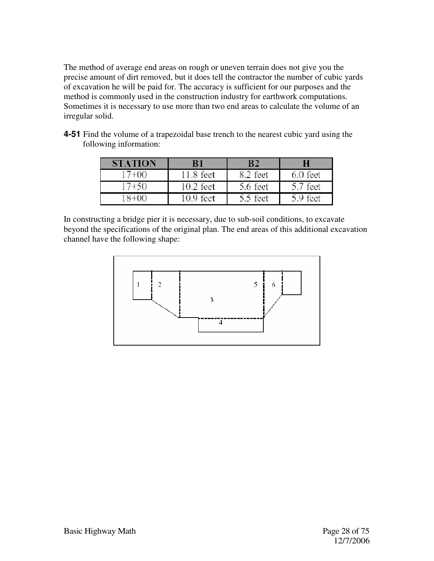The method of average end areas on rough or uneven terrain does not give you the precise amount of dirt removed, but it does tell the contractor the number of cubic yards of excavation he will be paid for. The accuracy is sufficient for our purposes and the method is commonly used in the construction industry for earthwork computations. Sometimes it is necessary to use more than two end areas to calculate the volume of an irregular solid.

| <b>STATION</b> | B1          | R 2      |            |
|----------------|-------------|----------|------------|
| 17+00          | 11.8 feet   | 8.2 feet | $6.0$ feet |
| 17+50          | $10.2$ feet | 5.6 feet | 5.7 feet   |
| -8+00          | 10.9 feet   | 5.5 feet | 5.9 feet   |

**4-51** Find the volume of a trapezoidal base trench to the nearest cubic yard using the following information:

In constructing a bridge pier it is necessary, due to sub-soil conditions, to excavate beyond the specifications of the original plan. The end areas of this additional excavation channel have the following shape:

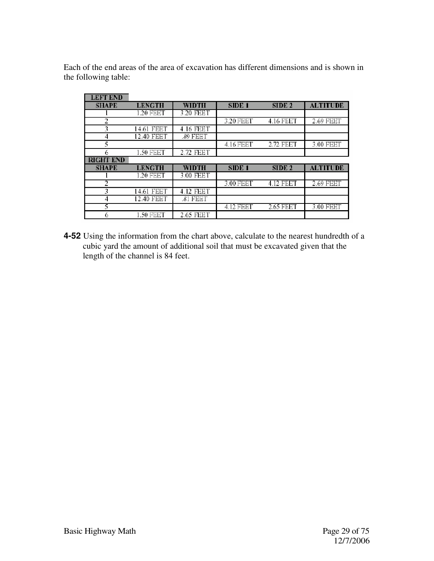Each of the end areas of the area of excavation has different dimensions and is shown in the following table:

| <b>LEFT END</b>  |               |           |                   |                   |                 |
|------------------|---------------|-----------|-------------------|-------------------|-----------------|
| <b>SHAPE</b>     | <b>LENGTH</b> | WIDTH     | SIDE <sub>1</sub> | SIDE <sub>2</sub> | <b>ALTITUDE</b> |
|                  | .20 FEET      | 3.20 FEET |                   |                   |                 |
| 2                |               |           | 3.20 FEET         | 4.16 FEET         | 2.69 FEET       |
| 3                | FEET<br>14.61 | 4.16 FEBT |                   |                   |                 |
| 4                | 12.40 FEET    | .89 FEET  |                   |                   |                 |
| 5                |               |           | 4.16 FEET         | 2.72 FEET         | 3.00 FEET       |
| 6                | 1.50 FEET     | 2.72 FEBT |                   |                   |                 |
|                  |               |           |                   |                   |                 |
| <b>RIGHT END</b> |               |           |                   |                   |                 |
| <b>SHAPE</b>     | LENGTH        | WIDTH     | SIDE <sub>1</sub> | SIDE <sub>2</sub> | <b>ALTITUDE</b> |
|                  | .20 FEET      | 3.00 FEET |                   |                   |                 |
| 2                |               |           | 3.00 FEET         | 4.12 FEET         | 2.69 FEET       |
| 3                | 14.61 FEET    | 4.12 FEBT |                   |                   |                 |
| 4                | 12.40 FEET    | .81 FEET  |                   |                   |                 |
| 5                |               |           | 4.12 FEET         | 2.65 FEET         | 3.00 FEET       |

**4-52** Using the information from the chart above, calculate to the nearest hundredth of a cubic yard the amount of additional soil that must be excavated given that the length of the channel is 84 feet.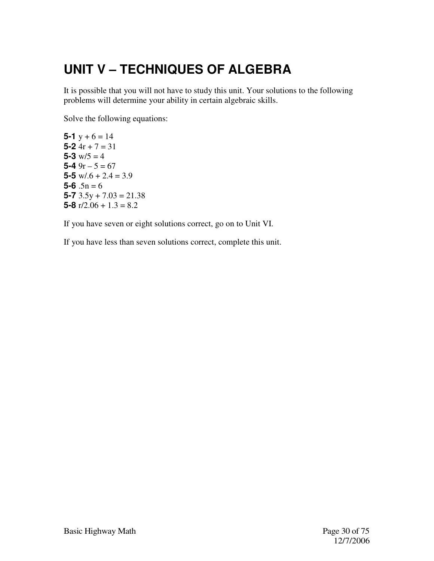# **UNIT V – TECHNIQUES OF ALGEBRA**

It is possible that you will not have to study this unit. Your solutions to the following problems will determine your ability in certain algebraic skills.

Solve the following equations:

**5-1**  $y + 6 = 14$ **5-2** 4r + 7 = 31 5-3  $w/5 = 4$ **5-4**  $9r - 5 = 67$ **5-5**  $w/0.6 + 2.4 = 3.9$  $5 - 6$   $.5n = 6$ **5-7**  $3.5y + 7.03 = 21.38$ **5-8**  $r/2.06 + 1.3 = 8.2$ 

If you have seven or eight solutions correct, go on to Unit VI.

If you have less than seven solutions correct, complete this unit.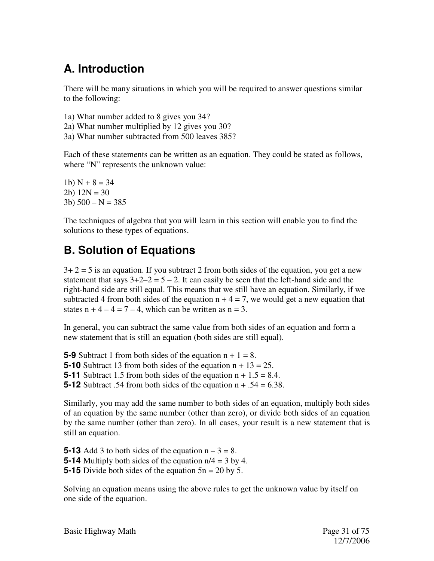## **A. Introduction**

There will be many situations in which you will be required to answer questions similar to the following:

1a) What number added to 8 gives you 34? 2a) What number multiplied by 12 gives you 30? 3a) What number subtracted from 500 leaves 385?

Each of these statements can be written as an equation. They could be stated as follows, where "N" represents the unknown value:

1b)  $N + 8 = 34$ 2b)  $12N = 30$ 3b)  $500 - N = 385$ 

The techniques of algebra that you will learn in this section will enable you to find the solutions to these types of equations.

## **B. Solution of Equations**

 $3+2=5$  is an equation. If you subtract 2 from both sides of the equation, you get a new statement that says  $3+2-2 = 5-2$ . It can easily be seen that the left-hand side and the right-hand side are still equal. This means that we still have an equation. Similarly, if we subtracted 4 from both sides of the equation  $n + 4 = 7$ , we would get a new equation that states  $n + 4 - 4 = 7 - 4$ , which can be written as  $n = 3$ .

In general, you can subtract the same value from both sides of an equation and form a new statement that is still an equation (both sides are still equal).

**5-9** Subtract 1 from both sides of the equation  $n + 1 = 8$ .

**5-10** Subtract 13 from both sides of the equation  $n + 13 = 25$ .

**5-11** Subtract 1.5 from both sides of the equation  $n + 1.5 = 8.4$ .

**5-12** Subtract .54 from both sides of the equation  $n + .54 = 6.38$ .

Similarly, you may add the same number to both sides of an equation, multiply both sides of an equation by the same number (other than zero), or divide both sides of an equation by the same number (other than zero). In all cases, your result is a new statement that is still an equation.

**5-13** Add 3 to both sides of the equation  $n - 3 = 8$ . **5-14** Multiply both sides of the equation n/4 = 3 by 4. **5-15** Divide both sides of the equation  $5n = 20$  by 5.

Solving an equation means using the above rules to get the unknown value by itself on one side of the equation.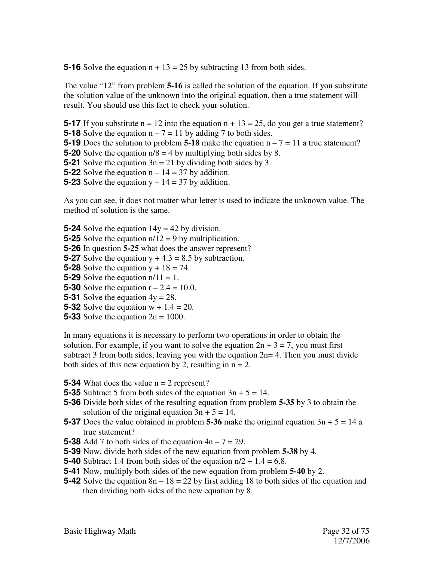**5-16** Solve the equation  $n + 13 = 25$  by subtracting 13 from both sides.

The value "12" from problem **5-16** is called the solution of the equation. If you substitute the solution value of the unknown into the original equation, then a true statement will result. You should use this fact to check your solution.

**5-17** If you substitute  $n = 12$  into the equation  $n + 13 = 25$ , do you get a true statement?

**5-18** Solve the equation  $n - 7 = 11$  by adding 7 to both sides.

- **5-19** Does the solution to problem **5-18** make the equation  $n 7 = 11$  a true statement?
- **5-20** Solve the equation  $n/8 = 4$  by multiplying both sides by 8.
- **5-21** Solve the equation  $3n = 21$  by dividing both sides by 3.
- **5-22** Solve the equation  $n 14 = 37$  by addition.
- **5-23** Solve the equation  $y 14 = 37$  by addition.

As you can see, it does not matter what letter is used to indicate the unknown value. The method of solution is the same.

- **5-24** Solve the equation  $14y = 42$  by division.
- **5-25** Solve the equation n/12 = 9 by multiplication.

**5-26** In question **5-25** what does the answer represent?

**5-27** Solve the equation  $y + 4.3 = 8.5$  by subtraction.

- **5-28** Solve the equation  $y + 18 = 74$ .
- **5-29** Solve the equation  $n/11 = 1$ .
- **5-30** Solve the equation  $r 2.4 = 10.0$ .
- **5-31** Solve the equation  $4y = 28$ .
- **5-32** Solve the equation w + 1.4 = 20.
- **5-33** Solve the equation 2n = 1000.

In many equations it is necessary to perform two operations in order to obtain the solution. For example, if you want to solve the equation  $2n + 3 = 7$ , you must first subtract 3 from both sides, leaving you with the equation  $2n= 4$ . Then you must divide both sides of this new equation by 2, resulting in  $n = 2$ .

- **5-34** What does the value  $n = 2$  represent?
- **5-35** Subtract 5 from both sides of the equation  $3n + 5 = 14$ .
- **5-36** Divide both sides of the resulting equation from problem **5-35** by 3 to obtain the solution of the original equation  $3n + 5 = 14$ .
- **5-37** Does the value obtained in problem **5-36** make the original equation  $3n + 5 = 14$  a true statement?
- **5-38** Add 7 to both sides of the equation  $4n 7 = 29$ .
- **5-39** Now, divide both sides of the new equation from problem **5-38** by 4.
- **5-40** Subtract 1.4 from both sides of the equation  $n/2 + 1.4 = 6.8$ .
- **5-41** Now, multiply both sides of the new equation from problem **5-40** by 2.
- **5-42** Solve the equation  $8n 18 = 22$  by first adding 18 to both sides of the equation and then dividing both sides of the new equation by 8.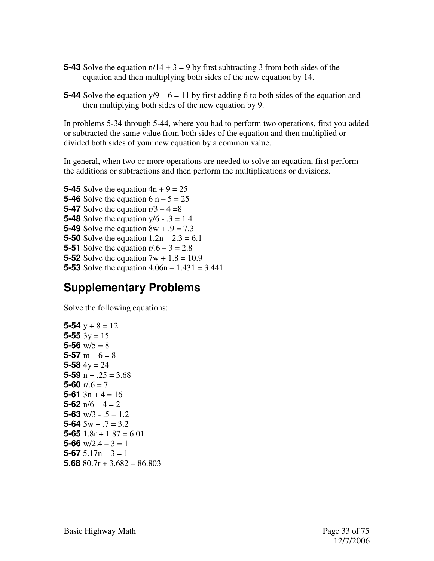- **5-43** Solve the equation  $n/14 + 3 = 9$  by first subtracting 3 from both sides of the equation and then multiplying both sides of the new equation by 14.
- **5-44** Solve the equation  $y/9 6 = 11$  by first adding 6 to both sides of the equation and then multiplying both sides of the new equation by 9.

In problems 5-34 through 5-44, where you had to perform two operations, first you added or subtracted the same value from both sides of the equation and then multiplied or divided both sides of your new equation by a common value.

In general, when two or more operations are needed to solve an equation, first perform the additions or subtractions and then perform the multiplications or divisions.

**5-45** Solve the equation  $4n + 9 = 25$ **5-46** Solve the equation  $6$  n  $-5 = 25$ **5-47** Solve the equation  $r/3 - 4 = 8$ **5-48** Solve the equation  $y/6 - 0.3 = 1.4$ **5-49** Solve the equation 8w + .9 = 7.3 **5-50** Solve the equation  $1.2n - 2.3 = 6.1$ **5-51** Solve the equation  $r/6 - 3 = 2.8$ **5-52** Solve the equation  $7w + 1.8 = 10.9$ **5-53** Solve the equation 4.06n – 1.431 = 3.441

#### **Supplementary Problems**

Solve the following equations:

```
5-54 y + 8 = 125-55 3y = 155-56 w/5=85-57 m – 6 = 8
5-58 4y = 245-59 n + .25 = 3.685-60 r/0.6 = 75-61 3n + 4 = 165-62 n/6 - 4 = 25-63 w/3 - 0.5 = 1.25-64 5w + .7 = 3.25 - 65 1.8r + 1.87 = 6.015-66 w/2.4 - 3 = 15-67 5.17n – 3 = 1
5.68 80.7r + 3.682 = 86.803
```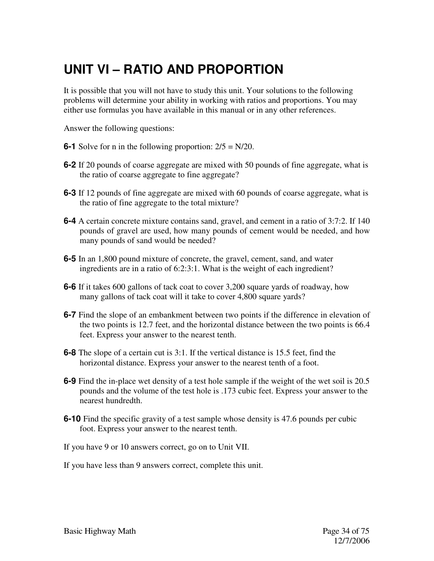# **UNIT VI – RATIO AND PROPORTION**

It is possible that you will not have to study this unit. Your solutions to the following problems will determine your ability in working with ratios and proportions. You may either use formulas you have available in this manual or in any other references.

Answer the following questions:

- **6-1** Solve for n in the following proportion:  $2/5 = N/20$ .
- **6-2** If 20 pounds of coarse aggregate are mixed with 50 pounds of fine aggregate, what is the ratio of coarse aggregate to fine aggregate?
- **6-3** If 12 pounds of fine aggregate are mixed with 60 pounds of coarse aggregate, what is the ratio of fine aggregate to the total mixture?
- **6-4** A certain concrete mixture contains sand, gravel, and cement in a ratio of 3:7:2. If 140 pounds of gravel are used, how many pounds of cement would be needed, and how many pounds of sand would be needed?
- **6-5** In an 1,800 pound mixture of concrete, the gravel, cement, sand, and water ingredients are in a ratio of 6:2:3:1. What is the weight of each ingredient?
- **6-6** If it takes 600 gallons of tack coat to cover 3,200 square yards of roadway, how many gallons of tack coat will it take to cover 4,800 square yards?
- **6-7** Find the slope of an embankment between two points if the difference in elevation of the two points is 12.7 feet, and the horizontal distance between the two points is 66.4 feet. Express your answer to the nearest tenth.
- **6-8** The slope of a certain cut is 3:1. If the vertical distance is 15.5 feet, find the horizontal distance. Express your answer to the nearest tenth of a foot.
- **6-9** Find the in-place wet density of a test hole sample if the weight of the wet soil is 20.5 pounds and the volume of the test hole is .173 cubic feet. Express your answer to the nearest hundredth.
- **6-10** Find the specific gravity of a test sample whose density is 47.6 pounds per cubic foot. Express your answer to the nearest tenth.
- If you have 9 or 10 answers correct, go on to Unit VII.
- If you have less than 9 answers correct, complete this unit.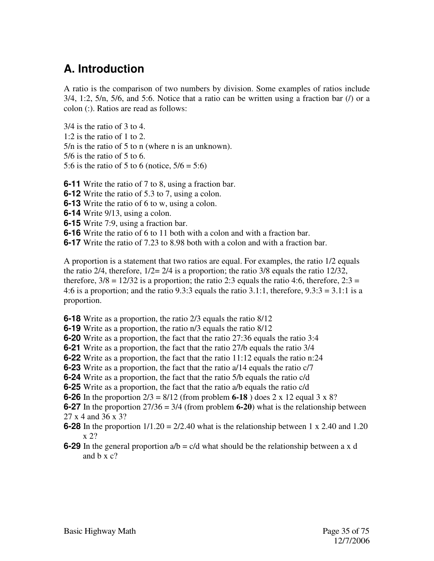#### **A. Introduction**

A ratio is the comparison of two numbers by division. Some examples of ratios include  $3/4$ , 1:2,  $5/n$ ,  $5/6$ , and  $5:6$ . Notice that a ratio can be written using a fraction bar (*l*) or a colon (:). Ratios are read as follows:

3/4 is the ratio of 3 to 4. 1:2 is the ratio of 1 to 2. 5/n is the ratio of 5 to n (where n is an unknown). 5/6 is the ratio of 5 to 6. 5:6 is the ratio of 5 to 6 (notice,  $5/6 = 5:6$ )

**6-11** Write the ratio of 7 to 8, using a fraction bar.

**6-12** Write the ratio of 5.3 to 7, using a colon.

**6-13** Write the ratio of 6 to w, using a colon.

**6-14** Write 9/13, using a colon.

**6-15** Write 7:9, using a fraction bar.

**6-16** Write the ratio of 6 to 11 both with a colon and with a fraction bar.

**6-17** Write the ratio of 7.23 to 8.98 both with a colon and with a fraction bar.

A proportion is a statement that two ratios are equal. For examples, the ratio 1/2 equals the ratio 2/4, therefore, 1/2= 2/4 is a proportion; the ratio 3/8 equals the ratio 12/32, therefore,  $3/8 = 12/32$  is a proportion; the ratio 2:3 equals the ratio 4:6, therefore,  $2:3 =$ 4:6 is a proportion; and the ratio 9.3:3 equals the ratio 3.1:1, therefore,  $9.3:3 = 3.1:1$  is a proportion.

**6-18** Write as a proportion, the ratio 2/3 equals the ratio 8/12

**6-19** Write as a proportion, the ratio n/3 equals the ratio 8/12

**6-20** Write as a proportion, the fact that the ratio 27:36 equals the ratio 3:4

**6-21** Write as a proportion, the fact that the ratio 27/b equals the ratio 3/4

**6-22** Write as a proportion, the fact that the ratio 11:12 equals the ratio n:24

**6-23** Write as a proportion, the fact that the ratio a/14 equals the ratio c/7

**6-24** Write as a proportion, the fact that the ratio 5/b equals the ratio c/d

**6-25** Write as a proportion, the fact that the ratio a/b equals the ratio c/d

**6-26** In the proportion 2/3 = 8/12 (from problem **6-18** ) does 2 x 12 equal 3 x 8?

**6-27** In the proportion  $27/36 = 3/4$  (from problem **6-20**) what is the relationship between 27 x 4 and 36 x 3?

- **6-28** In the proportion  $1/1.20 = 2/2.40$  what is the relationship between 1 x 2.40 and 1.20 x 2?
- **6-29** In the general proportion  $a/b = c/d$  what should be the relationship between a x d and b x c?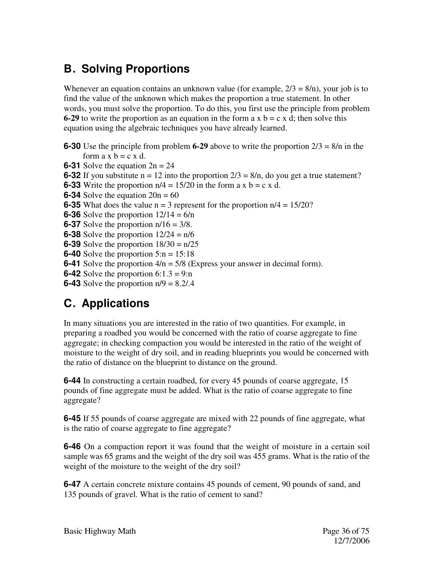## **B. Solving Proportions**

Whenever an equation contains an unknown value (for example,  $2/3 = 8/n$ ), your job is to find the value of the unknown which makes the proportion a true statement. In other words, you must solve the proportion. To do this, you first use the principle from problem **6-29** to write the proportion as an equation in the form a x  $b = c \times d$ ; then solve this equation using the algebraic techniques you have already learned.

- **6-30** Use the principle from problem **6-29** above to write the proportion 2/3 = 8/n in the form  $a \times b = c \times d$ .
- **6-31** Solve the equation  $2n = 24$
- **6-32** If you substitute  $n = 12$  into the proportion  $2/3 = 8/n$ , do you get a true statement?
- **6-33** Write the proportion  $n/4 = 15/20$  in the form a x b = c x d.
- **6-34** Solve the equation  $20n = 60$
- **6-35** What does the value  $n = 3$  represent for the proportion  $n/4 = 15/20$ ?
- **6-36** Solve the proportion  $12/14 = 6/n$
- **6-37** Solve the proportion n/16 = 3/8.
- **6-38** Solve the proportion  $12/24 = n/6$
- **6-39** Solve the proportion 18/30 = n/25
- **6-40** Solve the proportion  $5:n = 15:18$
- **6-41** Solve the proportion 4/n = 5/8 (Express your answer in decimal form).
- **6-42** Solve the proportion  $6:1.3 = 9:n$
- **6-43** Solve the proportion n/9 = 8.2/.4

## **C. Applications**

In many situations you are interested in the ratio of two quantities. For example, in preparing a roadbed you would be concerned with the ratio of coarse aggregate to fine aggregate; in checking compaction you would be interested in the ratio of the weight of moisture to the weight of dry soil, and in reading blueprints you would be concerned with the ratio of distance on the blueprint to distance on the ground.

**6-44** In constructing a certain roadbed, for every 45 pounds of coarse aggregate, 15 pounds of fine aggregate must be added. What is the ratio of coarse aggregate to fine aggregate?

**6-45** If 55 pounds of coarse aggregate are mixed with 22 pounds of fine aggregate, what is the ratio of coarse aggregate to fine aggregate?

**6-46** On a compaction report it was found that the weight of moisture in a certain soil sample was 65 grams and the weight of the dry soil was 455 grams. What is the ratio of the weight of the moisture to the weight of the dry soil?

**6-47** A certain concrete mixture contains 45 pounds of cement, 90 pounds of sand, and 135 pounds of gravel. What is the ratio of cement to sand?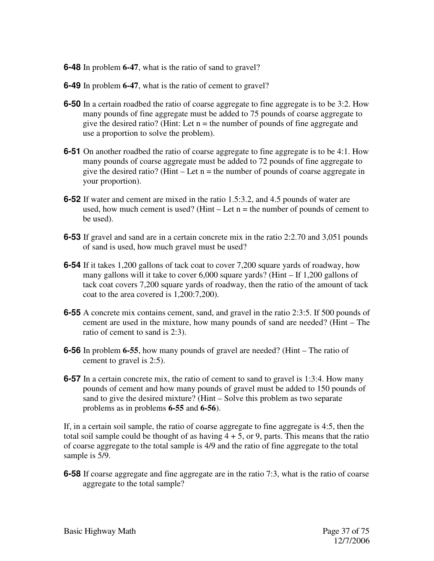**6-48** In problem **6-47**, what is the ratio of sand to gravel?

- **6-49** In problem **6-47**, what is the ratio of cement to gravel?
- **6-50** In a certain roadbed the ratio of coarse aggregate to fine aggregate is to be 3:2. How many pounds of fine aggregate must be added to 75 pounds of coarse aggregate to give the desired ratio? (Hint: Let  $n =$  the number of pounds of fine aggregate and use a proportion to solve the problem).
- **6-51** On another roadbed the ratio of coarse aggregate to fine aggregate is to be 4:1. How many pounds of coarse aggregate must be added to 72 pounds of fine aggregate to give the desired ratio? (Hint – Let  $n =$  the number of pounds of coarse aggregate in your proportion).
- **6-52** If water and cement are mixed in the ratio 1.5:3.2, and 4.5 pounds of water are used, how much cement is used? (Hint – Let  $n =$  the number of pounds of cement to be used).
- **6-53** If gravel and sand are in a certain concrete mix in the ratio 2:2.70 and 3,051 pounds of sand is used, how much gravel must be used?
- **6-54** If it takes 1,200 gallons of tack coat to cover 7,200 square yards of roadway, how many gallons will it take to cover 6,000 square yards? (Hint – If 1,200 gallons of tack coat covers 7,200 square yards of roadway, then the ratio of the amount of tack coat to the area covered is 1,200:7,200).
- **6-55** A concrete mix contains cement, sand, and gravel in the ratio 2:3:5. If 500 pounds of cement are used in the mixture, how many pounds of sand are needed? (Hint – The ratio of cement to sand is 2:3).
- **6-56** In problem **6-55**, how many pounds of gravel are needed? (Hint The ratio of cement to gravel is 2:5).
- **6-57** In a certain concrete mix, the ratio of cement to sand to gravel is 1:3:4. How many pounds of cement and how many pounds of gravel must be added to 150 pounds of sand to give the desired mixture? (Hint – Solve this problem as two separate problems as in problems **6-55** and **6-56**).

If, in a certain soil sample, the ratio of coarse aggregate to fine aggregate is 4:5, then the total soil sample could be thought of as having  $4 + 5$ , or 9, parts. This means that the ratio of coarse aggregate to the total sample is 4/9 and the ratio of fine aggregate to the total sample is 5/9.

**6-58** If coarse aggregate and fine aggregate are in the ratio 7:3, what is the ratio of coarse aggregate to the total sample?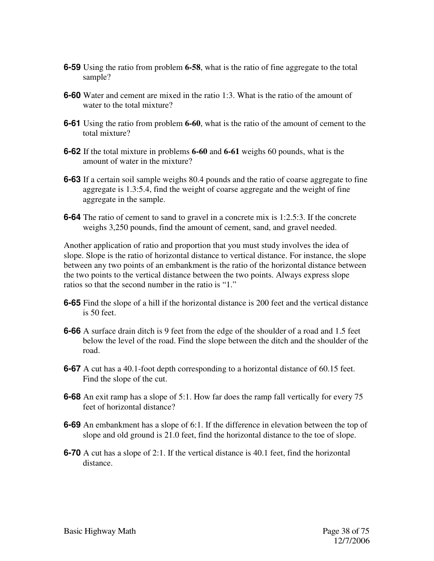- **6-59** Using the ratio from problem **6-58**, what is the ratio of fine aggregate to the total sample?
- **6-60** Water and cement are mixed in the ratio 1:3. What is the ratio of the amount of water to the total mixture?
- **6-61** Using the ratio from problem **6-60**, what is the ratio of the amount of cement to the total mixture?
- **6-62** If the total mixture in problems **6-60** and **6-61** weighs 60 pounds, what is the amount of water in the mixture?
- **6-63** If a certain soil sample weighs 80.4 pounds and the ratio of coarse aggregate to fine aggregate is 1.3:5.4, find the weight of coarse aggregate and the weight of fine aggregate in the sample.
- **6-64** The ratio of cement to sand to gravel in a concrete mix is 1:2.5:3. If the concrete weighs 3,250 pounds, find the amount of cement, sand, and gravel needed.

Another application of ratio and proportion that you must study involves the idea of slope. Slope is the ratio of horizontal distance to vertical distance. For instance, the slope between any two points of an embankment is the ratio of the horizontal distance between the two points to the vertical distance between the two points. Always express slope ratios so that the second number in the ratio is "1."

- **6-65** Find the slope of a hill if the horizontal distance is 200 feet and the vertical distance is 50 feet.
- **6-66** A surface drain ditch is 9 feet from the edge of the shoulder of a road and 1.5 feet below the level of the road. Find the slope between the ditch and the shoulder of the road.
- **6-67** A cut has a 40.1-foot depth corresponding to a horizontal distance of 60.15 feet. Find the slope of the cut.
- **6-68** An exit ramp has a slope of 5:1. How far does the ramp fall vertically for every 75 feet of horizontal distance?
- **6-69** An embankment has a slope of 6:1. If the difference in elevation between the top of slope and old ground is 21.0 feet, find the horizontal distance to the toe of slope.
- **6-70** A cut has a slope of 2:1. If the vertical distance is 40.1 feet, find the horizontal distance.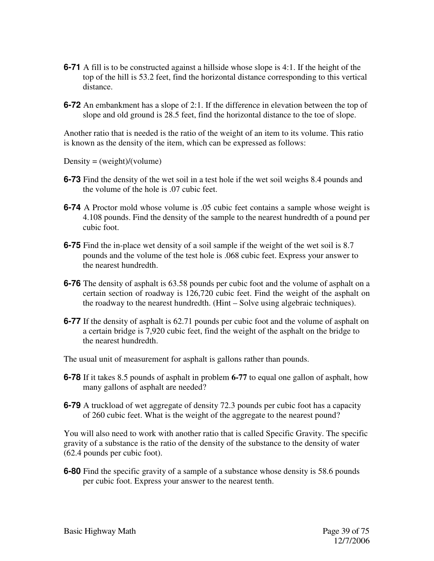- **6-71** A fill is to be constructed against a hillside whose slope is 4:1. If the height of the top of the hill is 53.2 feet, find the horizontal distance corresponding to this vertical distance.
- **6-72** An embankment has a slope of 2:1. If the difference in elevation between the top of slope and old ground is 28.5 feet, find the horizontal distance to the toe of slope.

Another ratio that is needed is the ratio of the weight of an item to its volume. This ratio is known as the density of the item, which can be expressed as follows:

Density =  $(weight)/(volume)$ 

- **6-73** Find the density of the wet soil in a test hole if the wet soil weighs 8.4 pounds and the volume of the hole is .07 cubic feet.
- **6-74** A Proctor mold whose volume is .05 cubic feet contains a sample whose weight is 4.108 pounds. Find the density of the sample to the nearest hundredth of a pound per cubic foot.
- **6-75** Find the in-place wet density of a soil sample if the weight of the wet soil is 8.7 pounds and the volume of the test hole is .068 cubic feet. Express your answer to the nearest hundredth.
- **6-76** The density of asphalt is 63.58 pounds per cubic foot and the volume of asphalt on a certain section of roadway is 126,720 cubic feet. Find the weight of the asphalt on the roadway to the nearest hundredth. (Hint – Solve using algebraic techniques).
- **6-77** If the density of asphalt is 62.71 pounds per cubic foot and the volume of asphalt on a certain bridge is 7,920 cubic feet, find the weight of the asphalt on the bridge to the nearest hundredth.

The usual unit of measurement for asphalt is gallons rather than pounds.

- **6-78** If it takes 8.5 pounds of asphalt in problem **6-77** to equal one gallon of asphalt, how many gallons of asphalt are needed?
- **6-79** A truckload of wet aggregate of density 72.3 pounds per cubic foot has a capacity of 260 cubic feet. What is the weight of the aggregate to the nearest pound?

You will also need to work with another ratio that is called Specific Gravity. The specific gravity of a substance is the ratio of the density of the substance to the density of water (62.4 pounds per cubic foot).

**6-80** Find the specific gravity of a sample of a substance whose density is 58.6 pounds per cubic foot. Express your answer to the nearest tenth.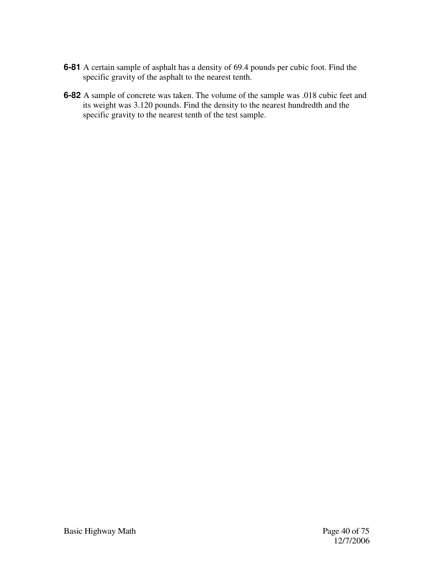- **6-81** A certain sample of asphalt has a density of 69.4 pounds per cubic foot. Find the specific gravity of the asphalt to the nearest tenth.
- **6-82** A sample of concrete was taken. The volume of the sample was .018 cubic feet and its weight was 3.120 pounds. Find the density to the nearest hundredth and the specific gravity to the nearest tenth of the test sample.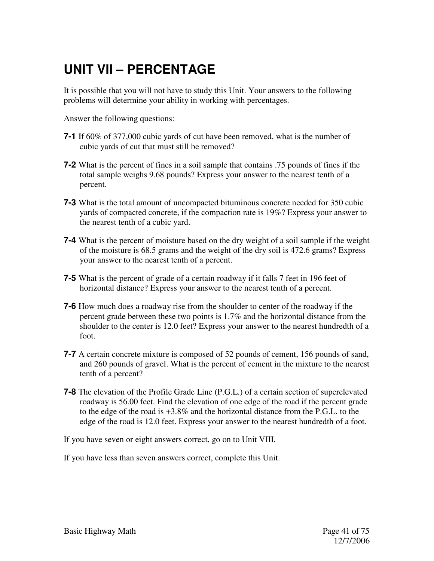# **UNIT VII – PERCENTAGE**

It is possible that you will not have to study this Unit. Your answers to the following problems will determine your ability in working with percentages.

Answer the following questions:

- **7-1** If 60% of 377,000 cubic yards of cut have been removed, what is the number of cubic yards of cut that must still be removed?
- **7-2** What is the percent of fines in a soil sample that contains .75 pounds of fines if the total sample weighs 9.68 pounds? Express your answer to the nearest tenth of a percent.
- **7-3** What is the total amount of uncompacted bituminous concrete needed for 350 cubic yards of compacted concrete, if the compaction rate is 19%? Express your answer to the nearest tenth of a cubic yard.
- **7-4** What is the percent of moisture based on the dry weight of a soil sample if the weight of the moisture is 68.5 grams and the weight of the dry soil is 472.6 grams? Express your answer to the nearest tenth of a percent.
- **7-5** What is the percent of grade of a certain roadway if it falls 7 feet in 196 feet of horizontal distance? Express your answer to the nearest tenth of a percent.
- **7-6** How much does a roadway rise from the shoulder to center of the roadway if the percent grade between these two points is 1.7% and the horizontal distance from the shoulder to the center is 12.0 feet? Express your answer to the nearest hundredth of a foot.
- **7-7** A certain concrete mixture is composed of 52 pounds of cement, 156 pounds of sand, and 260 pounds of gravel. What is the percent of cement in the mixture to the nearest tenth of a percent?
- **7-8** The elevation of the Profile Grade Line (P.G.L.) of a certain section of superelevated roadway is 56.00 feet. Find the elevation of one edge of the road if the percent grade to the edge of the road is +3.8% and the horizontal distance from the P.G.L. to the edge of the road is 12.0 feet. Express your answer to the nearest hundredth of a foot.

If you have seven or eight answers correct, go on to Unit VIII.

If you have less than seven answers correct, complete this Unit.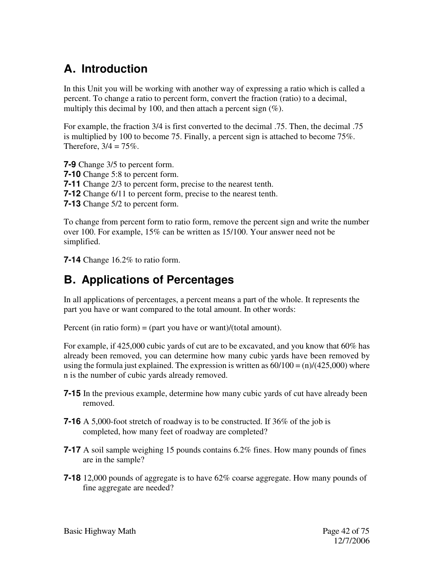### **A. Introduction**

In this Unit you will be working with another way of expressing a ratio which is called a percent. To change a ratio to percent form, convert the fraction (ratio) to a decimal, multiply this decimal by 100, and then attach a percent sign  $(\%)$ .

For example, the fraction 3/4 is first converted to the decimal .75. Then, the decimal .75 is multiplied by 100 to become 75. Finally, a percent sign is attached to become 75%. Therefore,  $3/4 = 75\%$ .

**7-9** Change 3/5 to percent form. **7-10** Change 5:8 to percent form. **7-11** Change 2/3 to percent form, precise to the nearest tenth. **7-12** Change 6/11 to percent form, precise to the nearest tenth. **7-13** Change 5/2 to percent form.

To change from percent form to ratio form, remove the percent sign and write the number over 100. For example, 15% can be written as 15/100. Your answer need not be simplified.

**7-14** Change 16.2% to ratio form.

### **B. Applications of Percentages**

In all applications of percentages, a percent means a part of the whole. It represents the part you have or want compared to the total amount. In other words:

Percent (in ratio form) = (part you have or want)/(total amount).

For example, if 425,000 cubic yards of cut are to be excavated, and you know that 60% has already been removed, you can determine how many cubic yards have been removed by using the formula just explained. The expression is written as  $60/100 = (n)/(425,000)$  where n is the number of cubic yards already removed.

- **7-15** In the previous example, determine how many cubic yards of cut have already been removed.
- **7-16** A 5,000-foot stretch of roadway is to be constructed. If 36% of the job is completed, how many feet of roadway are completed?
- **7-17** A soil sample weighing 15 pounds contains 6.2% fines. How many pounds of fines are in the sample?
- **7-18** 12,000 pounds of aggregate is to have 62% coarse aggregate. How many pounds of fine aggregate are needed?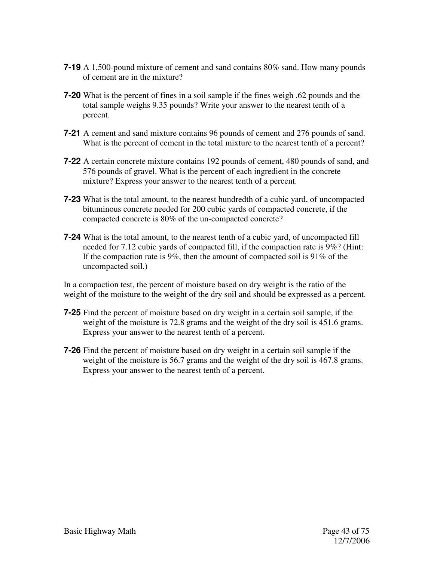- **7-19** A 1,500-pound mixture of cement and sand contains 80% sand. How many pounds of cement are in the mixture?
- **7-20** What is the percent of fines in a soil sample if the fines weigh .62 pounds and the total sample weighs 9.35 pounds? Write your answer to the nearest tenth of a percent.
- **7-21** A cement and sand mixture contains 96 pounds of cement and 276 pounds of sand. What is the percent of cement in the total mixture to the nearest tenth of a percent?
- **7-22** A certain concrete mixture contains 192 pounds of cement, 480 pounds of sand, and 576 pounds of gravel. What is the percent of each ingredient in the concrete mixture? Express your answer to the nearest tenth of a percent.
- **7-23** What is the total amount, to the nearest hundredth of a cubic yard, of uncompacted bituminous concrete needed for 200 cubic yards of compacted concrete, if the compacted concrete is 80% of the un-compacted concrete?
- **7-24** What is the total amount, to the nearest tenth of a cubic yard, of uncompacted fill needed for 7.12 cubic yards of compacted fill, if the compaction rate is 9%? (Hint: If the compaction rate is 9%, then the amount of compacted soil is 91% of the uncompacted soil.)

In a compaction test, the percent of moisture based on dry weight is the ratio of the weight of the moisture to the weight of the dry soil and should be expressed as a percent.

- **7-25** Find the percent of moisture based on dry weight in a certain soil sample, if the weight of the moisture is 72.8 grams and the weight of the dry soil is 451.6 grams. Express your answer to the nearest tenth of a percent.
- **7-26** Find the percent of moisture based on dry weight in a certain soil sample if the weight of the moisture is 56.7 grams and the weight of the dry soil is 467.8 grams. Express your answer to the nearest tenth of a percent.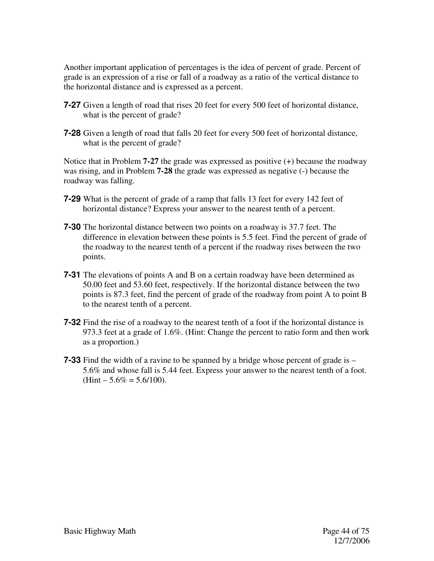Another important application of percentages is the idea of percent of grade. Percent of grade is an expression of a rise or fall of a roadway as a ratio of the vertical distance to the horizontal distance and is expressed as a percent.

- **7-27** Given a length of road that rises 20 feet for every 500 feet of horizontal distance, what is the percent of grade?
- **7-28** Given a length of road that falls 20 feet for every 500 feet of horizontal distance, what is the percent of grade?

Notice that in Problem **7-27** the grade was expressed as positive (+) because the roadway was rising, and in Problem **7-28** the grade was expressed as negative (-) because the roadway was falling.

- **7-29** What is the percent of grade of a ramp that falls 13 feet for every 142 feet of horizontal distance? Express your answer to the nearest tenth of a percent.
- **7-30** The horizontal distance between two points on a roadway is 37.7 feet. The difference in elevation between these points is 5.5 feet. Find the percent of grade of the roadway to the nearest tenth of a percent if the roadway rises between the two points.
- **7-31** The elevations of points A and B on a certain roadway have been determined as 50.00 feet and 53.60 feet, respectively. If the horizontal distance between the two points is 87.3 feet, find the percent of grade of the roadway from point A to point B to the nearest tenth of a percent.
- **7-32** Find the rise of a roadway to the nearest tenth of a foot if the horizontal distance is 973.3 feet at a grade of 1.6%. (Hint: Change the percent to ratio form and then work as a proportion.)
- **7-33** Find the width of a ravine to be spanned by a bridge whose percent of grade is 5.6% and whose fall is 5.44 feet. Express your answer to the nearest tenth of a foot.  $(Hint - 5.6\% = 5.6/100).$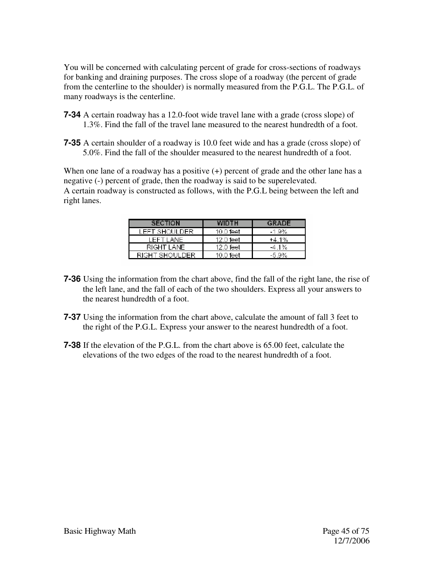You will be concerned with calculating percent of grade for cross-sections of roadways for banking and draining purposes. The cross slope of a roadway (the percent of grade from the centerline to the shoulder) is normally measured from the P.G.L. The P.G.L. of many roadways is the centerline.

- **7-34** A certain roadway has a 12.0-foot wide travel lane with a grade (cross slope) of 1.3%. Find the fall of the travel lane measured to the nearest hundredth of a foot.
- **7-35** A certain shoulder of a roadway is 10.0 feet wide and has a grade (cross slope) of 5.0%. Find the fall of the shoulder measured to the nearest hundredth of a foot.

When one lane of a roadway has a positive  $(+)$  percent of grade and the other lane has a negative (-) percent of grade, then the roadway is said to be superelevated. A certain roadway is constructed as follows, with the P.G.L being between the left and right lanes.

| <b>SECTION</b> | <b>WIDTH</b> | GRADE    |
|----------------|--------------|----------|
| LEET SHOULDER. | 10.0 feet    | $-1.9%$  |
| LEET LANE.     | 12.0 feet    | +4.1%    |
| RIGHT LANE.    | 12.0 feet    | $-4.1\%$ |
| RIGHT SHOULDER | 10.0 feet    | -5.9%    |

- **7-36** Using the information from the chart above, find the fall of the right lane, the rise of the left lane, and the fall of each of the two shoulders. Express all your answers to the nearest hundredth of a foot.
- **7-37** Using the information from the chart above, calculate the amount of fall 3 feet to the right of the P.G.L. Express your answer to the nearest hundredth of a foot.
- **7-38** If the elevation of the P.G.L. from the chart above is 65.00 feet, calculate the elevations of the two edges of the road to the nearest hundredth of a foot.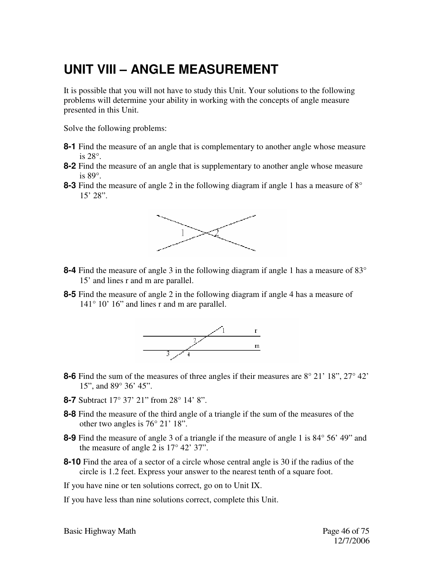# **UNIT VIII – ANGLE MEASUREMENT**

It is possible that you will not have to study this Unit. Your solutions to the following problems will determine your ability in working with the concepts of angle measure presented in this Unit.

Solve the following problems:

- **8-1** Find the measure of an angle that is complementary to another angle whose measure is 28°.
- **8-2** Find the measure of an angle that is supplementary to another angle whose measure is 89°.
- **8-3** Find the measure of angle 2 in the following diagram if angle 1 has a measure of 8° 15' 28".



- **8-4** Find the measure of angle 3 in the following diagram if angle 1 has a measure of 83° 15' and lines r and m are parallel.
- **8-5** Find the measure of angle 2 in the following diagram if angle 4 has a measure of 141° 10' 16" and lines r and m are parallel.



- **8-6** Find the sum of the measures of three angles if their measures are 8° 21' 18", 27° 42' 15", and 89° 36' 45".
- **8-7** Subtract 17° 37' 21" from 28° 14' 8".
- **8-8** Find the measure of the third angle of a triangle if the sum of the measures of the other two angles is 76° 21' 18".
- **8-9** Find the measure of angle 3 of a triangle if the measure of angle 1 is 84° 56' 49" and the measure of angle 2 is 17° 42' 37".
- **8-10** Find the area of a sector of a circle whose central angle is 30 if the radius of the circle is 1.2 feet. Express your answer to the nearest tenth of a square foot.
- If you have nine or ten solutions correct, go on to Unit IX.
- If you have less than nine solutions correct, complete this Unit.

Basic Highway Math **Page 46 of 75**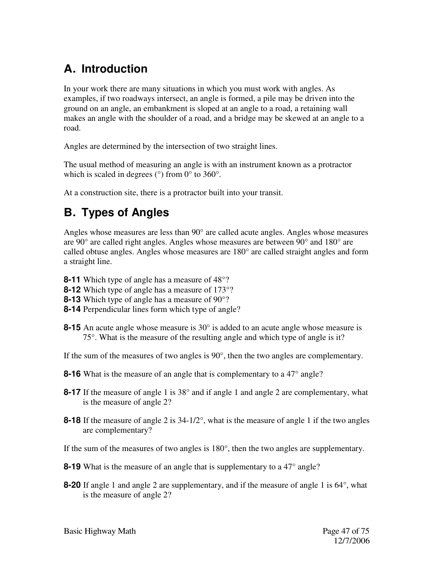## **A. Introduction**

In your work there are many situations in which you must work with angles. As examples, if two roadways intersect, an angle is formed, a pile may be driven into the ground on an angle, an embankment is sloped at an angle to a road, a retaining wall makes an angle with the shoulder of a road, and a bridge may be skewed at an angle to a road.

Angles are determined by the intersection of two straight lines.

The usual method of measuring an angle is with an instrument known as a protractor which is scaled in degrees ( $\degree$ ) from 0 $\degree$  to 360 $\degree$ .

At a construction site, there is a protractor built into your transit.

## **B. Types of Angles**

Angles whose measures are less than  $90^{\circ}$  are called acute angles. Angles whose measures are 90° are called right angles. Angles whose measures are between 90° and 180° are called obtuse angles. Angles whose measures are 180° are called straight angles and form a straight line.

- **8-11** Which type of angle has a measure of 48°?
- **8-12** Which type of angle has a measure of 173°?
- **8-13** Which type of angle has a measure of 90°?
- **8-14** Perpendicular lines form which type of angle?
- **8-15** An acute angle whose measure is 30° is added to an acute angle whose measure is 75°. What is the measure of the resulting angle and which type of angle is it?
- If the sum of the measures of two angles is 90°, then the two angles are complementary.
- **8-16** What is the measure of an angle that is complementary to a 47<sup>°</sup> angle?
- **8-17** If the measure of angle 1 is 38° and if angle 1 and angle 2 are complementary, what is the measure of angle 2?
- **8-18** If the measure of angle 2 is 34-1/2°, what is the measure of angle 1 if the two angles are complementary?
- If the sum of the measures of two angles is 180°, then the two angles are supplementary.
- **8-19** What is the measure of an angle that is supplementary to a 47° angle?
- **8-20** If angle 1 and angle 2 are supplementary, and if the measure of angle 1 is 64°, what is the measure of angle 2?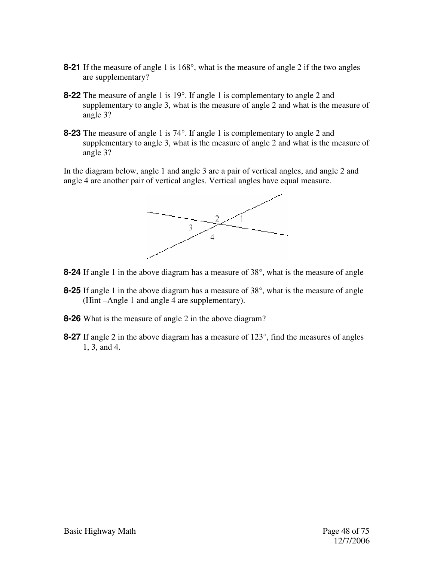- **8-21** If the measure of angle 1 is 168°, what is the measure of angle 2 if the two angles are supplementary?
- **8-22** The measure of angle 1 is 19°. If angle 1 is complementary to angle 2 and supplementary to angle 3, what is the measure of angle 2 and what is the measure of angle 3?
- **8-23** The measure of angle 1 is 74°. If angle 1 is complementary to angle 2 and supplementary to angle 3, what is the measure of angle 2 and what is the measure of angle 3?

In the diagram below, angle 1 and angle 3 are a pair of vertical angles, and angle 2 and angle 4 are another pair of vertical angles. Vertical angles have equal measure.



- **8-24** If angle 1 in the above diagram has a measure of 38°, what is the measure of angle
- **8-25** If angle 1 in the above diagram has a measure of 38°, what is the measure of angle (Hint –Angle 1 and angle 4 are supplementary).
- **8-26** What is the measure of angle 2 in the above diagram?
- **8-27** If angle 2 in the above diagram has a measure of 123°, find the measures of angles 1, 3, and 4.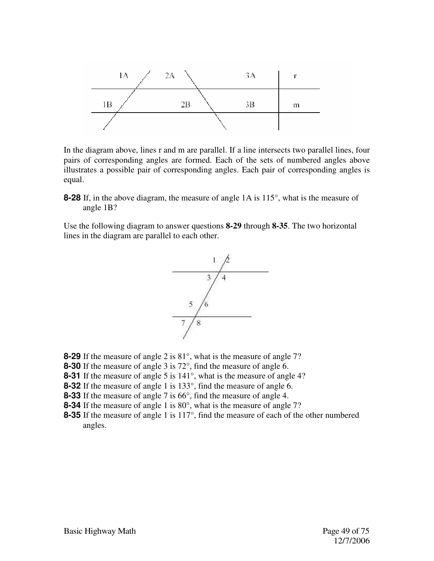

In the diagram above, lines r and m are parallel. If a line intersects two parallel lines, four pairs of corresponding angles are formed. Each of the sets of numbered angles above illustrates a possible pair of corresponding angles. Each pair of corresponding angles is equal.

**8-28** If, in the above diagram, the measure of angle 1A is 115°, what is the measure of angle 1B?

Use the following diagram to answer questions **8-29** through **8-35**. The two horizontal lines in the diagram are parallel to each other.



- **8-29** If the measure of angle 2 is 81°, what is the measure of angle 7?
- **8-30** If the measure of angle 3 is 72°, find the measure of angle 6.
- **8-31** If the measure of angle 5 is 141<sup>°</sup>, what is the measure of angle 4?
- **8-32** If the measure of angle 1 is 133°, find the measure of angle 6.
- **8-33** If the measure of angle 7 is 66°, find the measure of angle 4.
- **8-34** If the measure of angle 1 is 80°, what is the measure of angle 7?
- **8-35** If the measure of angle 1 is 117°, find the measure of each of the other numbered angles.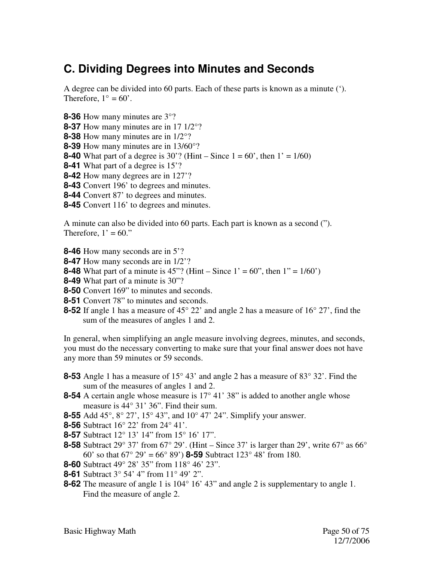### **C. Dividing Degrees into Minutes and Seconds**

A degree can be divided into 60 parts. Each of these parts is known as a minute ('). Therefore,  $1^\circ = 60'$ .

**8-36** How many minutes are 3°? **8-37** How many minutes are in 17 1/2°? **8-38** How many minutes are in 1/2°? **8-39** How many minutes are in 13/60°? **8-40** What part of a degree is 30'? (Hint – Since  $1 = 60$ ', then  $1' = 1/60$ ) **8-41** What part of a degree is 15'? **8-42** How many degrees are in 127'? **8-43** Convert 196' to degrees and minutes. **8-44** Convert 87' to degrees and minutes. **8-45** Convert 116' to degrees and minutes.

A minute can also be divided into 60 parts. Each part is known as a second ("). Therefore,  $1' = 60$ ."

**8-46** How many seconds are in 5'?

- **8-47** How many seconds are in 1/2'?
- **8-48** What part of a minute is 45"? (Hint Since  $1' = 60$ ", then  $1'' = 1/60'$ )
- **8-49** What part of a minute is 30"?
- **8-50** Convert 169" to minutes and seconds.
- **8-51** Convert 78" to minutes and seconds.
- **8-52** If angle 1 has a measure of 45° 22' and angle 2 has a measure of 16° 27', find the sum of the measures of angles 1 and 2.

In general, when simplifying an angle measure involving degrees, minutes, and seconds, you must do the necessary converting to make sure that your final answer does not have any more than 59 minutes or 59 seconds.

- **8-53** Angle 1 has a measure of 15° 43' and angle 2 has a measure of 83° 32'. Find the sum of the measures of angles 1 and 2.
- **8-54** A certain angle whose measure is 17<sup>°</sup> 41' 38" is added to another angle whose measure is 44° 31' 36". Find their sum.
- **8-55** Add 45°, 8° 27', 15° 43", and 10° 47' 24". Simplify your answer.
- **8-56** Subtract 16° 22' from 24° 41'.
- **8-57** Subtract 12° 13' 14" from 15° 16' 17".
- **8-58** Subtract 29° 37' from 67° 29'. (Hint Since 37' is larger than 29', write 67° as 66° 60' so that 67° 29' = 66° 89') **8-59** Subtract 123° 48' from 180.
- **8-60** Subtract 49° 28' 35" from 118° 46' 23".
- **8-61** Subtract 3° 54' 4" from 11° 49' 2".
- **8-62** The measure of angle 1 is 104<sup>°</sup> 16<sup>'</sup> 43<sup>°</sup> and angle 2 is supplementary to angle 1. Find the measure of angle 2.

Basic Highway Math Page 50 of 75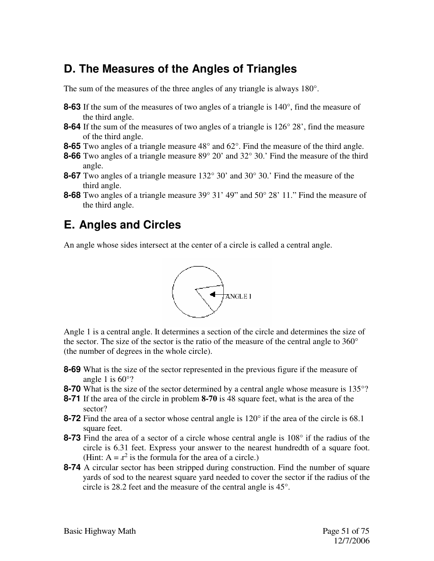### **D. The Measures of the Angles of Triangles**

The sum of the measures of the three angles of any triangle is always 180°.

- **8-63** If the sum of the measures of two angles of a triangle is 140°, find the measure of the third angle.
- **8-64** If the sum of the measures of two angles of a triangle is 126° 28', find the measure of the third angle.
- **8-65** Two angles of a triangle measure 48° and 62°. Find the measure of the third angle.
- **8-66** Two angles of a triangle measure 89° 20' and 32° 30.' Find the measure of the third angle.
- **8-67** Two angles of a triangle measure 132° 30' and 30° 30.' Find the measure of the third angle.
- **8-68** Two angles of a triangle measure 39° 31' 49" and 50° 28' 11." Find the measure of the third angle.

#### **E. Angles and Circles**

An angle whose sides intersect at the center of a circle is called a central angle.



Angle 1 is a central angle. It determines a section of the circle and determines the size of the sector. The size of the sector is the ratio of the measure of the central angle to 360° (the number of degrees in the whole circle).

- **8-69** What is the size of the sector represented in the previous figure if the measure of angle 1 is  $60^{\circ}$ ?
- **8-70** What is the size of the sector determined by a central angle whose measure is 135°?
- **8-71** If the area of the circle in problem **8-70** is 48 square feet, what is the area of the sector?
- **8-72** Find the area of a sector whose central angle is 120° if the area of the circle is 68.1 square feet.
- **8-73** Find the area of a sector of a circle whose central angle is 108° if the radius of the circle is 6.31 feet. Express your answer to the nearest hundredth of a square foot. (Hint:  $A = x^2$  is the formula for the area of a circle.)
- **8-74** A circular sector has been stripped during construction. Find the number of square yards of sod to the nearest square yard needed to cover the sector if the radius of the circle is 28.2 feet and the measure of the central angle is 45°.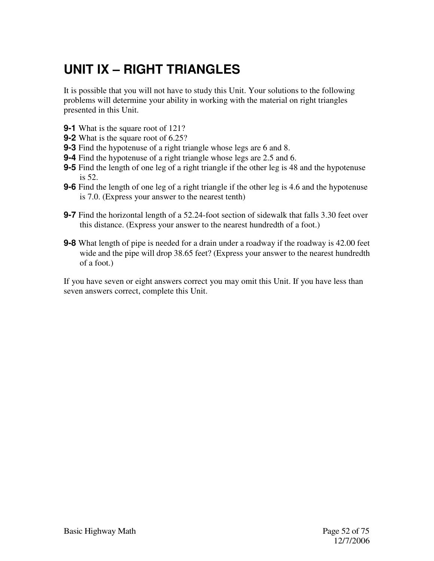# **UNIT IX – RIGHT TRIANGLES**

It is possible that you will not have to study this Unit. Your solutions to the following problems will determine your ability in working with the material on right triangles presented in this Unit.

- **9-1** What is the square root of 121?
- **9-2** What is the square root of 6.25?
- **9-3** Find the hypotenuse of a right triangle whose legs are 6 and 8.
- **9-4** Find the hypotenuse of a right triangle whose legs are 2.5 and 6.
- **9-5** Find the length of one leg of a right triangle if the other leg is 48 and the hypotenuse is 52.
- **9-6** Find the length of one leg of a right triangle if the other leg is 4.6 and the hypotenuse is 7.0. (Express your answer to the nearest tenth)
- **9-7** Find the horizontal length of a 52.24-foot section of sidewalk that falls 3.30 feet over this distance. (Express your answer to the nearest hundredth of a foot.)
- **9-8** What length of pipe is needed for a drain under a roadway if the roadway is 42.00 feet wide and the pipe will drop 38.65 feet? (Express your answer to the nearest hundredth of a foot.)

If you have seven or eight answers correct you may omit this Unit. If you have less than seven answers correct, complete this Unit.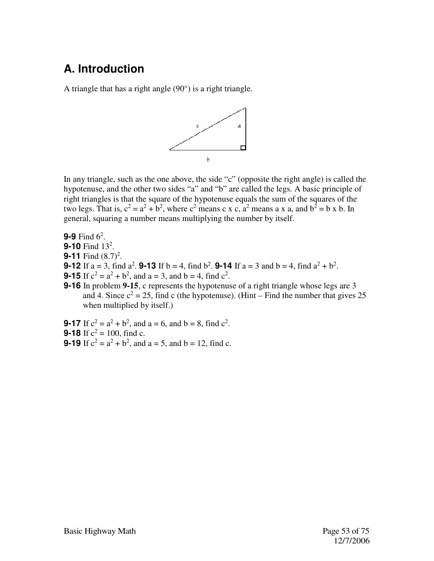### **A. Introduction**

A triangle that has a right angle (90°) is a right triangle.



In any triangle, such as the one above, the side "c" (opposite the right angle) is called the hypotenuse, and the other two sides "a" and "b" are called the legs. A basic principle of right triangles is that the square of the hypotenuse equals the sum of the squares of the two legs. That is,  $c^2 = a^2 + b^2$ , where  $c^2$  means c x c,  $a^2$  means a x a, and  $b^2 = b$  x b. In general, squaring a number means multiplying the number by itself.

**9-9** Find  $6^2$ . **9-10** Find 13<sup>2</sup>. **9-11** Find  $(8.7)^2$ . **9-12** If  $a = 3$ , find  $a^2$ . **9-13** If  $b = 4$ , find  $b^2$ . **9-14** If  $a = 3$  and  $b = 4$ , find  $a^2 + b^2$ . **9-15** If  $c^2 = a^2 + b^2$ , and  $a = 3$ , and  $b = 4$ , find  $c^2$ . **9-16** In problem **9-15**, c represents the hypotenuse of a right triangle whose legs are 3 and 4. Since  $c^2 = 25$ , find c (the hypotenuse). (Hint – Find the number that gives 25 when multiplied by itself.)

**9-17** If  $c^2 = a^2 + b^2$ , and  $a = 6$ , and  $b = 8$ , find  $c^2$ . **9-18** If  $c^2 = 100$ , find c. **9-19** If  $c^2 = a^2 + b^2$ , and  $a = 5$ , and  $b = 12$ , find c.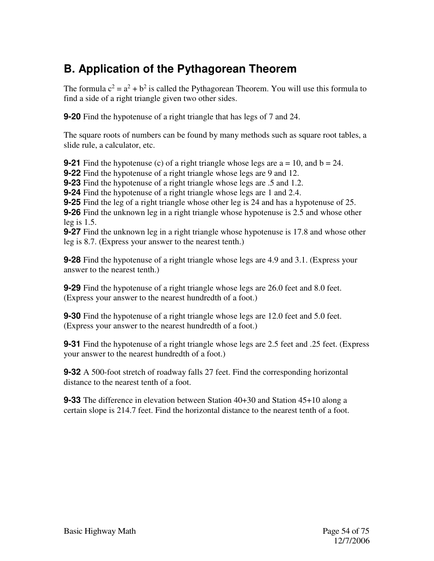### **B. Application of the Pythagorean Theorem**

The formula  $c^2 = a^2 + b^2$  is called the Pythagorean Theorem. You will use this formula to find a side of a right triangle given two other sides.

**9-20** Find the hypotenuse of a right triangle that has legs of 7 and 24.

The square roots of numbers can be found by many methods such as square root tables, a slide rule, a calculator, etc.

**9-21** Find the hypotenuse (c) of a right triangle whose legs are  $a = 10$ , and  $b = 24$ .

**9-22** Find the hypotenuse of a right triangle whose legs are 9 and 12.

**9-23** Find the hypotenuse of a right triangle whose legs are .5 and 1.2.

**9-24** Find the hypotenuse of a right triangle whose legs are 1 and 2.4.

**9-25** Find the leg of a right triangle whose other leg is 24 and has a hypotenuse of 25.

**9-26** Find the unknown leg in a right triangle whose hypotenuse is 2.5 and whose other leg is 1.5.

**9-27** Find the unknown leg in a right triangle whose hypotenuse is 17.8 and whose other leg is 8.7. (Express your answer to the nearest tenth.)

**9-28** Find the hypotenuse of a right triangle whose legs are 4.9 and 3.1. (Express your answer to the nearest tenth.)

**9-29** Find the hypotenuse of a right triangle whose legs are 26.0 feet and 8.0 feet. (Express your answer to the nearest hundredth of a foot.)

**9-30** Find the hypotenuse of a right triangle whose legs are 12.0 feet and 5.0 feet. (Express your answer to the nearest hundredth of a foot.)

**9-31** Find the hypotenuse of a right triangle whose legs are 2.5 feet and .25 feet. (Express your answer to the nearest hundredth of a foot.)

**9-32** A 500-foot stretch of roadway falls 27 feet. Find the corresponding horizontal distance to the nearest tenth of a foot.

**9-33** The difference in elevation between Station 40+30 and Station 45+10 along a certain slope is 214.7 feet. Find the horizontal distance to the nearest tenth of a foot.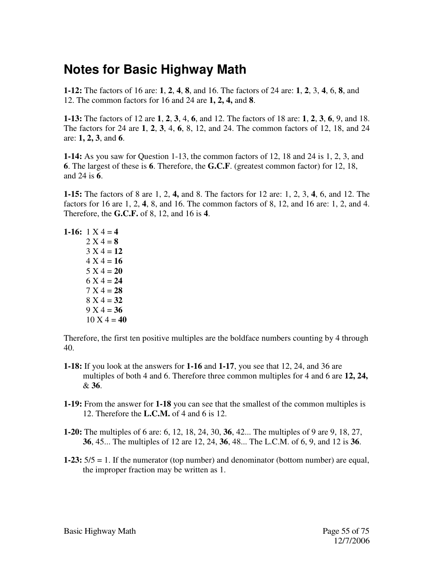### **Notes for Basic Highway Math**

**1-12:** The factors of 16 are: **1**, **2**, **4**, **8**, and 16. The factors of 24 are: **1**, **2**, 3, **4**, 6, **8**, and 12. The common factors for 16 and 24 are **1, 2, 4,** and **8**.

**1-13:** The factors of 12 are **1**, **2**, **3**, 4, **6**, and 12. The factors of 18 are: **1**, **2**, **3**, **6**, 9, and 18. The factors for 24 are **1**, **2**, **3**, 4, **6**, 8, 12, and 24. The common factors of 12, 18, and 24 are: **1, 2, 3**, and **6**.

**1-14:** As you saw for Question 1-13, the common factors of 12, 18 and 24 is 1, 2, 3, and **6**. The largest of these is **6**. Therefore, the **G.C.F**. (greatest common factor) for 12, 18, and 24 is **6**.

**1-15:** The factors of 8 are 1, 2, **4,** and 8. The factors for 12 are: 1, 2, 3, **4**, 6, and 12. The factors for 16 are 1, 2, **4**, 8, and 16. The common factors of 8, 12, and 16 are: 1, 2, and 4. Therefore, the **G.C.F.** of 8, 12, and 16 is **4**.

1-16:  $1 \text{ X } 4 = 4$  $2 X 4 = 8$  $3 X 4 = 12$  $4 X 4 = 16$  $5 X 4 = 20$  $6 X 4 = 24$  $7 X 4 = 28$ 8 X 4 = **32**   $9 X 4 = 36$  $10 \text{ X } 4 = 40$ 

Therefore, the first ten positive multiples are the boldface numbers counting by 4 through 40.

- **1-18:** If you look at the answers for **1-16** and **1-17**, you see that 12, 24, and 36 are multiples of both 4 and 6. Therefore three common multiples for 4 and 6 are **12, 24,**  & **36**.
- **1-19:** From the answer for **1-18** you can see that the smallest of the common multiples is 12. Therefore the **L.C.M.** of 4 and 6 is 12.
- **1-20:** The multiples of 6 are: 6, 12, 18, 24, 30, **36**, 42... The multiples of 9 are 9, 18, 27, **36**, 45... The multiples of 12 are 12, 24, **36**, 48... The L.C.M. of 6, 9, and 12 is **36**.
- **1-23:** 5/5 = 1. If the numerator (top number) and denominator (bottom number) are equal, the improper fraction may be written as 1.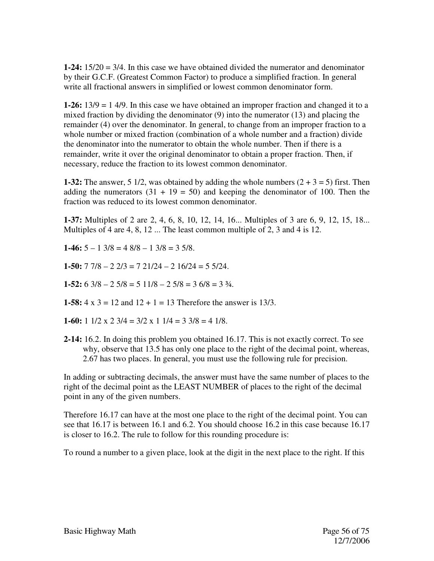**1-24:** 15/20 = 3/4. In this case we have obtained divided the numerator and denominator by their G.C.F. (Greatest Common Factor) to produce a simplified fraction. In general write all fractional answers in simplified or lowest common denominator form.

**1-26:** 13/9 = 1 4/9. In this case we have obtained an improper fraction and changed it to a mixed fraction by dividing the denominator (9) into the numerator (13) and placing the remainder (4) over the denominator. In general, to change from an improper fraction to a whole number or mixed fraction (combination of a whole number and a fraction) divide the denominator into the numerator to obtain the whole number. Then if there is a remainder, write it over the original denominator to obtain a proper fraction. Then, if necessary, reduce the fraction to its lowest common denominator.

**1-32:** The answer, 5 1/2, was obtained by adding the whole numbers  $(2 + 3 = 5)$  first. Then adding the numerators  $(31 + 19 = 50)$  and keeping the denominator of 100. Then the fraction was reduced to its lowest common denominator.

**1-37:** Multiples of 2 are 2, 4, 6, 8, 10, 12, 14, 16... Multiples of 3 are 6, 9, 12, 15, 18... Multiples of 4 are 4, 8, 12 ... The least common multiple of 2, 3 and 4 is 12.

**1-46:**  $5 - 1$   $3/8 = 4$   $8/8 - 1$   $3/8 = 3$   $5/8$ .

**1-50:** 7 7/8 – 2 2/3 = 7 21/24 – 2 16/24 = 5 5/24.

**1-52:**  $6 \frac{3}{8} - 2 \frac{5}{8} = 5 \frac{11}{8} - 2 \frac{5}{8} = 3 \frac{6}{8} = 3 \frac{3}{4}$ .

**1-58:**  $4 \times 3 = 12$  and  $12 + 1 = 13$  Therefore the answer is 13/3.

**1-60:** 1  $1/2 \times 2 \frac{3}{4} = \frac{3}{2} \times 1 \frac{1}{4} = \frac{3}{3} \frac{3}{8} = \frac{4}{18}$ .

**2-14:** 16.2. In doing this problem you obtained 16.17. This is not exactly correct. To see why, observe that 13.5 has only one place to the right of the decimal point, whereas, 2.67 has two places. In general, you must use the following rule for precision.

In adding or subtracting decimals, the answer must have the same number of places to the right of the decimal point as the LEAST NUMBER of places to the right of the decimal point in any of the given numbers.

Therefore 16.17 can have at the most one place to the right of the decimal point. You can see that 16.17 is between 16.1 and 6.2. You should choose 16.2 in this case because 16.17 is closer to 16.2. The rule to follow for this rounding procedure is:

To round a number to a given place, look at the digit in the next place to the right. If this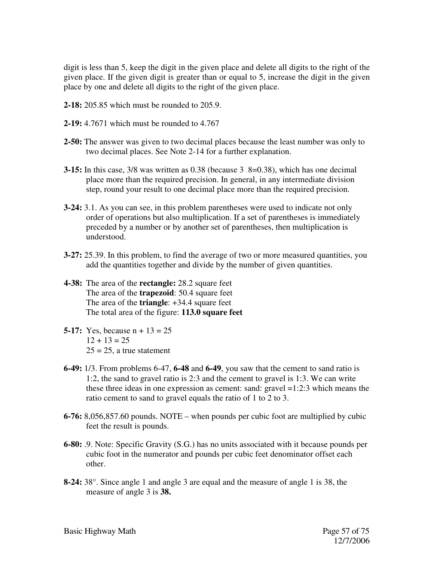digit is less than 5, keep the digit in the given place and delete all digits to the right of the given place. If the given digit is greater than or equal to 5, increase the digit in the given place by one and delete all digits to the right of the given place.

- **2-18:** 205.85 which must be rounded to 205.9.
- **2-19:** 4.7671 which must be rounded to 4.767
- **2-50:** The answer was given to two decimal places because the least number was only to two decimal places. See Note 2-14 for a further explanation.
- **3-15:** In this case,  $3/8$  was written as 0.38 (because  $3 \cdot 8 = 0.38$ ), which has one decimal place more than the required precision. In general, in any intermediate division step, round your result to one decimal place more than the required precision.
- **3-24:** 3.1. As you can see, in this problem parentheses were used to indicate not only order of operations but also multiplication. If a set of parentheses is immediately preceded by a number or by another set of parentheses, then multiplication is understood.
- **3-27:** 25.39. In this problem, to find the average of two or more measured quantities, you add the quantities together and divide by the number of given quantities.
- **4-38:** The area of the **rectangle:** 28.2 square feet The area of the **trapezoid**: 50.4 square feet The area of the **triangle**: +34.4 square feet The total area of the figure: **113.0 square feet**
- **5-17:** Yes, because n + 13 = 25  $12 + 13 = 25$  $25 = 25$ , a true statement
- **6-49:** 1/3. From problems 6-47, **6-48** and **6-49**, you saw that the cement to sand ratio is 1:2, the sand to gravel ratio is 2:3 and the cement to gravel is 1:3. We can write these three ideas in one expression as cement: sand: gravel =1:2:3 which means the ratio cement to sand to gravel equals the ratio of 1 to 2 to 3.
- **6-76:** 8,056,857.60 pounds. NOTE when pounds per cubic foot are multiplied by cubic feet the result is pounds.
- **6-80:** .9. Note: Specific Gravity (S.G.) has no units associated with it because pounds per cubic foot in the numerator and pounds per cubic feet denominator offset each other.
- **8-24:** 38°. Since angle 1 and angle 3 are equal and the measure of angle 1 is 38, the measure of angle 3 is **38.**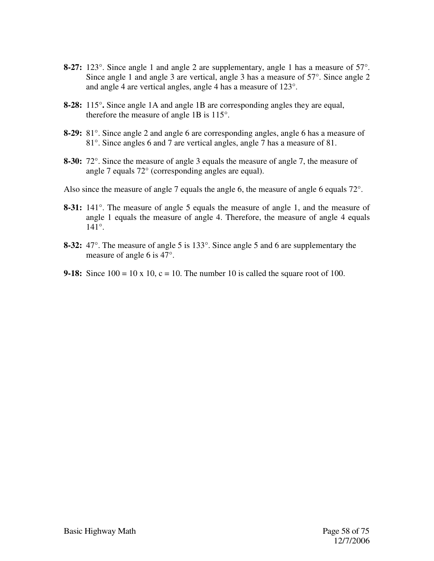- **8-27:** 123°. Since angle 1 and angle 2 are supplementary, angle 1 has a measure of 57°. Since angle 1 and angle 3 are vertical, angle 3 has a measure of 57°. Since angle 2 and angle 4 are vertical angles, angle 4 has a measure of 123°.
- **8-28:** 115°**.** Since angle 1A and angle 1B are corresponding angles they are equal, therefore the measure of angle 1B is 115°.
- **8-29:** 81°. Since angle 2 and angle 6 are corresponding angles, angle 6 has a measure of 81°. Since angles 6 and 7 are vertical angles, angle 7 has a measure of 81.
- **8-30:** 72°. Since the measure of angle 3 equals the measure of angle 7, the measure of angle 7 equals 72° (corresponding angles are equal).
- Also since the measure of angle 7 equals the angle 6, the measure of angle 6 equals 72°.
- **8-31:** 141°. The measure of angle 5 equals the measure of angle 1, and the measure of angle 1 equals the measure of angle 4. Therefore, the measure of angle 4 equals 141°.
- **8-32:** 47°. The measure of angle 5 is 133°. Since angle 5 and 6 are supplementary the measure of angle 6 is 47°.
- **9-18:** Since  $100 = 10 \times 10$ ,  $c = 10$ . The number 10 is called the square root of 100.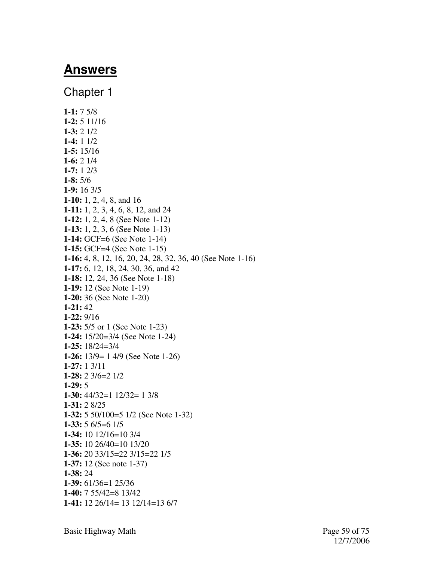### **Answers**

Chapter 1 **1-1:** 7 5/8 **1-2:** 5 11/16 **1-3:** 2 1/2 **1-4:** 1 1/2 **1-5:** 15/16 **1-6:** 2 1/4 **1-7:** 1 2/3 **1-8:** 5/6 **1-9:** 16 3/5 **1-10:** 1, 2, 4, 8, and 16 **1-11:** 1, 2, 3, 4, 6, 8, 12, and 24 **1-12:** 1, 2, 4, 8 (See Note 1-12) **1-13:** 1, 2, 3, 6 (See Note 1-13) **1-14:** GCF=6 (See Note 1-14) **1-15:** GCF=4 (See Note 1-15) **1-16:** 4, 8, 12, 16, 20, 24, 28, 32, 36, 40 (See Note 1-16) **1-17:** 6, 12, 18, 24, 30, 36, and 42 **1-18:** 12, 24, 36 (See Note 1-18) **1-19:** 12 (See Note 1-19) **1-20:** 36 (See Note 1-20) **1-21:** 42 **1-22:** 9/16 **1-23:** 5/5 or 1 (See Note 1-23) **1-24:** 15/20=3/4 (See Note 1-24) **1-25:** 18/24=3/4 **1-26:** 13/9= 1 4/9 (See Note 1-26) **1-27:** 1 3/11 **1-28:** 2 3/6=2 1/2 **1-29:** 5 **1-30:** 44/32=1 12/32= 1 3/8 **1-31:** 2 8/25 **1-32:** 5 50/100=5 1/2 (See Note 1-32) **1-33:** 5 6/5=6 1/5 **1-34:** 10 12/16=10 3/4 **1-35:** 10 26/40=10 13/20 **1-36:** 20 33/15=22 3/15=22 1/5 **1-37:** 12 (See note 1-37) **1-38:** 24 **1-39:** 61/36=1 25/36 **1-40:** 7 55/42=8 13/42 **1-41:** 12 26/14= 13 12/14=13 6/7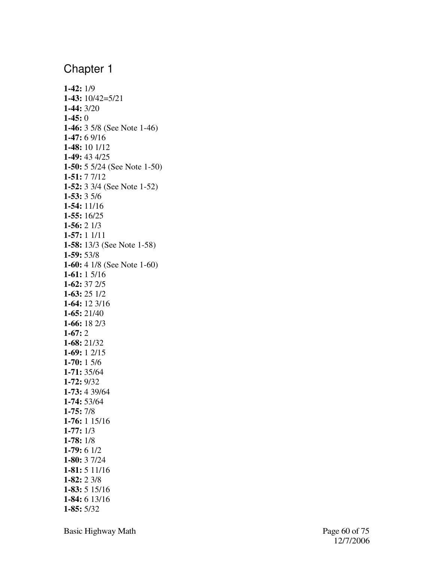**1-42:** 1/9 **1-43:** 10/42=5/21 **1-44:** 3/20 **1-45:** 0 **1-46:** 3 5/8 (See Note 1-46) **1-47:** 6 9/16 **1-48:** 10 1/12 **1-49:** 43 4/25 **1-50:** 5 5/24 (See Note 1-50) **1-51:** 7 7/12 **1-52:** 3 3/4 (See Note 1-52) **1-53:** 3 5/6 **1-54:** 11/16 **1-55:** 16/25 **1-56:** 2 1/3 **1-57:** 1 1/11 **1-58:** 13/3 (See Note 1-58) **1-59:** 53/8 **1-60:** 4 1/8 (See Note 1-60) **1-61:** 1 5/16 **1-62:** 37 2/5 **1-63:** 25 1/2 **1-64:** 12 3/16 **1-65:** 21/40 **1-66:** 18 2/3 **1-67:** 2 **1-68:** 21/32 **1-69:** 1 2/15 **1-70:** 1 5/6 **1-71:** 35/64 **1-72:** 9/32 **1-73:** 4 39/64 **1-74:** 53/64 **1-75:** 7/8 **1-76:** 1 15/16 **1-77:** 1/3 **1-78:** 1/8 **1-79:** 6 1/2 **1-80:** 3 7/24 **1-81:** 5 11/16 **1-82:** 2 3/8 **1-83:** 5 15/16 **1-84:** 6 13/16 **1-85:** 5/32

Basic Highway Math Page 60 of 75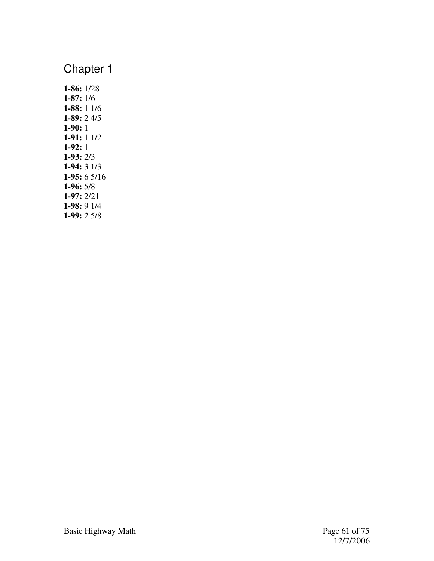**1-86:** 1/28 **1-87:** 1/6 **1-88:** 1 1/6 **1-89:** 2 4/5 **1-90:** 1 **1-91:** 1 1/2 **1-92:** 1 **1-93:** 2/3 **1-94:** 3 1/3 **1-95:** 6 5/16 **1-96:** 5/8 **1-97:** 2/21 **1-98:** 9 1/4 **1-99:** 2 5/8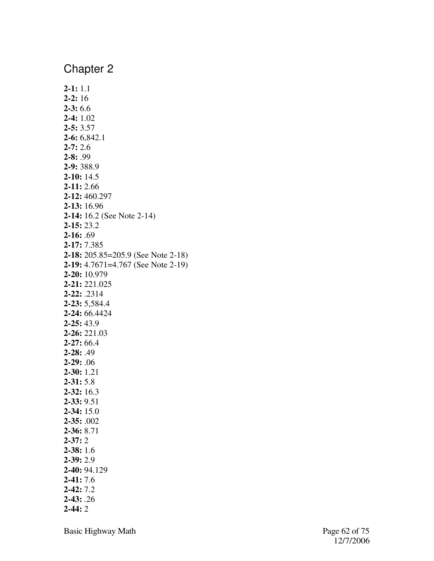**2-1:** 1.1 **2-2:** 16 **2-3:** 6.6 **2-4:** 1.02 **2-5:** 3.57 **2-6:** 6,842.1 **2-7:** 2.6 **2-8:** .99 **2-9:** 388.9 **2-10:** 14.5 **2-11:** 2.66 **2-12:** 460.297 **2-13:** 16.96 **2-14:** 16.2 (See Note 2-14) **2-15:** 23.2 **2-16:** .69 **2-17:** 7.385 **2-18:** 205.85=205.9 (See Note 2-18) **2-19:** 4.7671=4.767 (See Note 2-19) **2-20:** 10.979 **2-21:** 221.025 **2-22:** .2314 **2-23:** 5,584.4 **2-24:** 66.4424 **2-25:** 43.9 **2-26:** 221.03 **2-27:** 66.4 **2-28:** .49 **2-29:** .06 **2-30:** 1.21 **2-31:** 5.8 **2-32:** 16.3 **2-33:** 9.51 **2-34:** 15.0 **2-35:** .002 **2-36:** 8.71 **2-37:** 2 **2-38:** 1.6 **2-39:** 2.9 **2-40:** 94.129 **2-41:** 7.6 **2-42:** 7.2 **2-43:** .26 **2-44:** 2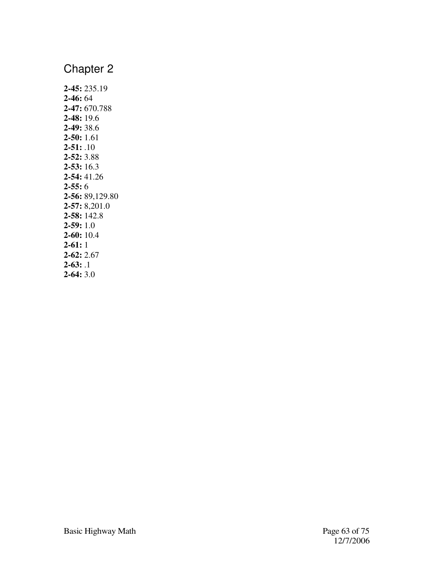**2-45:** 235.19 **2-46:** 64 **2-47:** 670.788 **2-48:** 19.6 **2-49:** 38.6 **2-50:** 1.61 **2-51:** .10 **2-52:** 3.88 **2-53:** 16.3 **2-54:** 41.26 **2-55:** 6 **2-56:** 89,129.80 **2-57:** 8,201.0 **2-58:** 142.8 **2-59:** 1.0 **2-60:** 10.4 **2-61:** 1 **2-62:** 2.67 **2-63:** .1 **2-64:** 3.0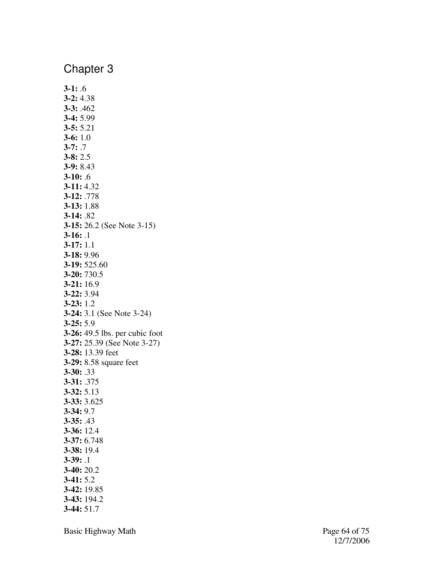**3-1:** .6 **3-2:** 4.38 **3-3:** .462 **3-4:** 5.99 **3-5:** 5.21 **3-6:** 1.0 **3-7:** .7 **3-8:** 2.5 **3-9:** 8.43 **3-10:** .6 **3-11:** 4.32 **3-12:** .778 **3-13:** 1.88 **3-14:** .82 **3-15:** 26.2 (See Note 3-15) **3-16:** .1 **3-17:** 1.1 **3-18:** 9.96 **3-19:** 525.60 **3-20:** 730.5 **3-21:** 16.9 **3-22:** 3.94 **3-23:** 1.2 **3-24:** 3.1 (See Note 3-24) **3-25:** 5.9 **3-26:** 49.5 lbs. per cubic foot **3-27:** 25.39 (See Note 3-27) **3-28:** 13.39 feet **3-29:** 8.58 square feet **3-30:** .33 **3-31:** .375 **3-32:** 5.13 **3-33:** 3.625 **3-34:** 9.7 **3-35:** .43 **3-36:** 12.4 **3-37:** 6.748 **3-38:** 19.4 **3-39:** .1 **3-40:** 20.2 **3-41:** 5.2 **3-42:** 19.85 **3-43:** 194.2 **3-44:** 51.7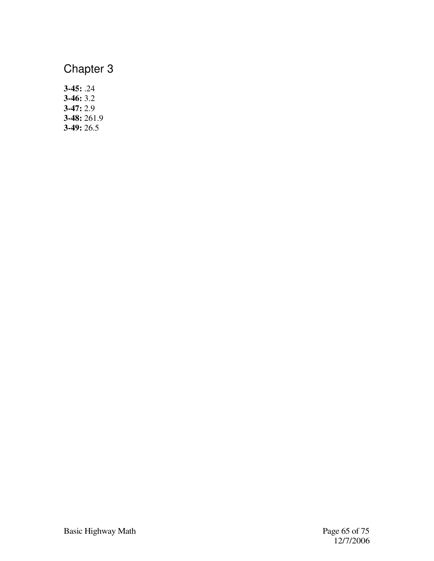**3-45:** .24 **3-46:** 3.2 **3-47:** 2.9 **3-48:** 261.9 **3-49:** 26.5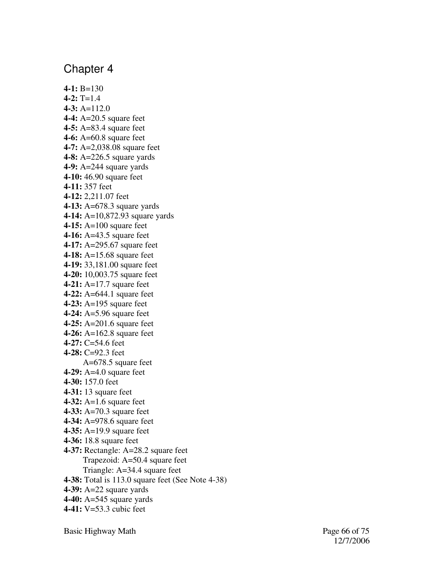**4-1:** B=130  $4-2$ : T=1.4 **4-3:** A=112.0 **4-4:** A=20.5 square feet **4-5:** A=83.4 square feet **4-6:** A=60.8 square feet **4-7:** A=2,038.08 square feet **4-8:** A=226.5 square yards **4-9:** A=244 square yards **4-10:** 46.90 square feet **4-11:** 357 feet **4-12:** 2,211.07 feet **4-13:** A=678.3 square yards **4-14:** A=10,872.93 square yards **4-15:** A=100 square feet **4-16:** A=43.5 square feet **4-17:** A=295.67 square feet **4-18:** A=15.68 square feet **4-19:** 33,181.00 square feet **4-20:** 10,003.75 square feet **4-21:** A=17.7 square feet **4-22:** A=644.1 square feet **4-23:** A=195 square feet **4-24:** A=5.96 square feet **4-25:** A=201.6 square feet **4-26:** A=162.8 square feet **4-27:** C=54.6 feet **4-28:** C=92.3 feet A=678.5 square feet **4-29:** A=4.0 square feet **4-30:** 157.0 feet **4-31:** 13 square feet **4-32:** A=1.6 square feet **4-33:** A=70.3 square feet **4-34:** A=978.6 square feet **4-35:** A=19.9 square feet **4-36:** 18.8 square feet **4-37:** Rectangle: A=28.2 square feet Trapezoid: A=50.4 square feet Triangle: A=34.4 square feet **4-38:** Total is 113.0 square feet (See Note 4-38) **4-39:** A=22 square yards **4-40:** A=545 square yards **4-41:** V=53.3 cubic feet

Basic Highway Math Page 66 of 75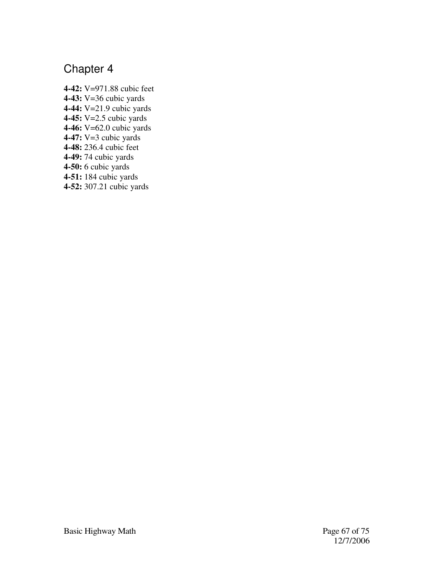**4-42:** V=971.88 cubic feet **4-43:** V=36 cubic yards **4-44:** V=21.9 cubic yards **4-45:** V=2.5 cubic yards **4-46:** V=62.0 cubic yards **4-47:** V=3 cubic yards **4-48:** 236.4 cubic feet **4-49:** 74 cubic yards **4-50:** 6 cubic yards **4-51:** 184 cubic yards **4-52:** 307.21 cubic yards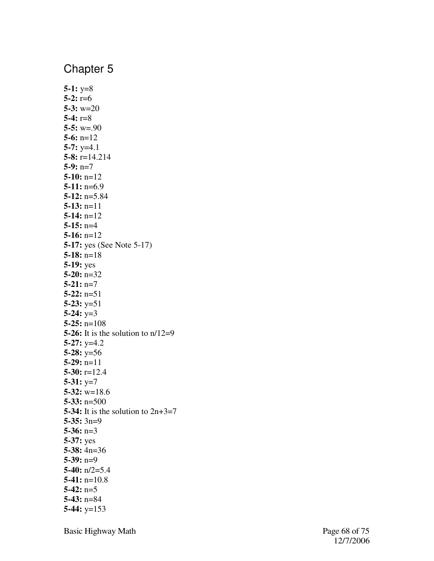**5-1:** y=8 **5-2:** r=6 **5-3:** w=20 **5-4:** r=8 **5-5:** w=.90 **5-6:** n=12 **5-7:** y=4.1 **5-8:** r=14.214 **5-9:** n=7 **5-10:** n=12 **5-11:** n=6.9 **5-12:** n=5.84 **5-13:** n=11 **5-14:** n=12 **5-15:** n=4 **5-16:** n=12 **5-17:** yes (See Note 5-17) **5-18:** n=18 **5-19:** yes **5-20:** n=32 **5-21:** n=7 **5-22:** n=51 **5-23:** y=51 **5-24:** y=3 **5-25:** n=108 **5-26:** It is the solution to  $n/12=9$ **5-27:** y=4.2 **5-28:** y=56 **5-29:** n=11 **5-30:** r=12.4 **5-31:** y=7 **5-32:** w=18.6 **5-33:** n=500 **5-34:** It is the solution to 2n+3=7 **5-35:** 3n=9 **5-36:** n=3 **5-37:** yes **5-38:** 4n=36 **5-39:** n=9 **5-40:** n/2=5.4 **5-41:** n=10.8 **5-42:** n=5 **5-43:** n=84 **5-44:** y=153

Basic Highway Math Page 68 of 75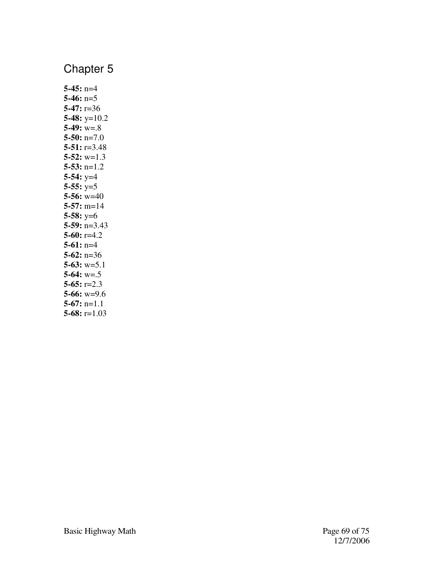| $5-45: n=4$       |                  |
|-------------------|------------------|
| 5-46: $n=5$       |                  |
| $5-47: r=36$      |                  |
|                   | 5-48: $y=10.2$   |
| $5-49$ : $w = .8$ |                  |
|                   | $5-50: n=7.0$    |
|                   | $5-51: r=3.48$   |
|                   | $5-52$ : $w=1.3$ |
|                   | $5-53$ : n=1.2   |
| $5-54$ : $y=4$    |                  |
| $5-55: y=5$       |                  |
|                   | 5-56: $w=40$     |
|                   | $5-57$ : m=14    |
| 5-58: $y=6$       |                  |
|                   | $5-59: n=3.43$   |
| $5-60: r=4.2$     |                  |
| $5-61$ : n=4      |                  |
| 5-62: $n=36$      |                  |
|                   | $5-63$ : $w=5.1$ |
| $5-64$ : $w = .5$ |                  |
| 5-65: $r=2.3$     |                  |
|                   | $5-66$ : $w=9.6$ |
| $5-67$ : n=1.1    |                  |
|                   | 5-68: $r=1.03$   |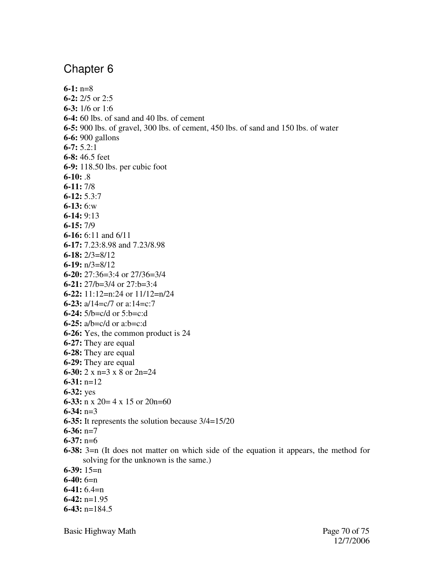**6-1:** n=8 **6-2:** 2/5 or 2:5 **6-3:** 1/6 or 1:6 **6-4:** 60 lbs. of sand and 40 lbs. of cement **6-5:** 900 lbs. of gravel, 300 lbs. of cement, 450 lbs. of sand and 150 lbs. of water **6-6:** 900 gallons **6-7:** 5.2:1 **6-8:** 46.5 feet **6-9:** 118.50 lbs. per cubic foot **6-10:** .8 **6-11:** 7/8 **6-12:** 5.3:7 **6-13:** 6:w **6-14:** 9:13 **6-15:** 7/9 **6-16:** 6:11 and 6/11 **6-17:** 7.23:8.98 and 7.23/8.98 **6-18:** 2/3=8/12 **6-19:** n/3=8/12 **6-20:** 27:36=3:4 or 27/36=3/4 **6-21:** 27/b=3/4 or 27:b=3:4 **6-22:** 11:12=n:24 or 11/12=n/24 **6-23:** a/14=c/7 or a:14=c:7 **6-24:** 5/b=c/d or 5:b=c:d **6-25:** a/b=c/d or a:b=c:d **6-26:** Yes, the common product is 24 **6-27:** They are equal **6-28:** They are equal **6-29:** They are equal **6-30:** 2 x n=3 x 8 or 2n=24 **6-31:** n=12 **6-32:** yes **6-33:** n x 20= 4 x 15 or 20n=60 **6-34:** n=3 **6-35:** It represents the solution because 3/4=15/20 **6-36:** n=7 **6-37:** n=6 **6-38:** 3=n (It does not matter on which side of the equation it appears, the method for solving for the unknown is the same.) **6-39:** 15=n **6-40:** 6=n **6-41:** 6.4=n **6-42:** n=1.95 **6-43:** n=184.5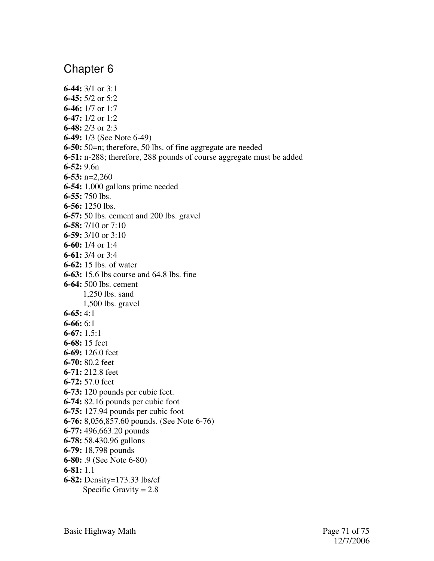**6-44:** 3/1 or 3:1 **6-45:** 5/2 or 5:2 **6-46:** 1/7 or 1:7 **6-47:** 1/2 or 1:2 **6-48:** 2/3 or 2:3 **6-49:** 1/3 (See Note 6-49) **6-50:** 50=n; therefore, 50 lbs. of fine aggregate are needed **6-51:** n-288; therefore, 288 pounds of course aggregate must be added **6-52:** 9.6n **6-53:** n=2,260 **6-54:** 1,000 gallons prime needed **6-55:** 750 lbs. **6-56:** 1250 lbs. **6-57:** 50 lbs. cement and 200 lbs. gravel **6-58:** 7/10 or 7:10 **6-59:** 3/10 or 3:10 **6-60:** 1/4 or 1:4 **6-61:** 3/4 or 3:4 **6-62:** 15 lbs. of water **6-63:** 15.6 lbs course and 64.8 lbs. fine **6-64:** 500 lbs. cement 1,250 lbs. sand 1,500 lbs. gravel **6-65:** 4:1 **6-66:** 6:1 **6-67:** 1.5:1 **6-68:** 15 feet **6-69:** 126.0 feet **6-70:** 80.2 feet **6-71:** 212.8 feet **6-72:** 57.0 feet **6-73:** 120 pounds per cubic feet. **6-74:** 82.16 pounds per cubic foot **6-75:** 127.94 pounds per cubic foot **6-76:** 8,056,857.60 pounds. (See Note 6-76) **6-77:** 496,663.20 pounds **6-78:** 58,430.96 gallons **6-79:** 18,798 pounds **6-80:** .9 (See Note 6-80) **6-81:** 1.1 **6-82:** Density=173.33 lbs/cf Specific Gravity  $= 2.8$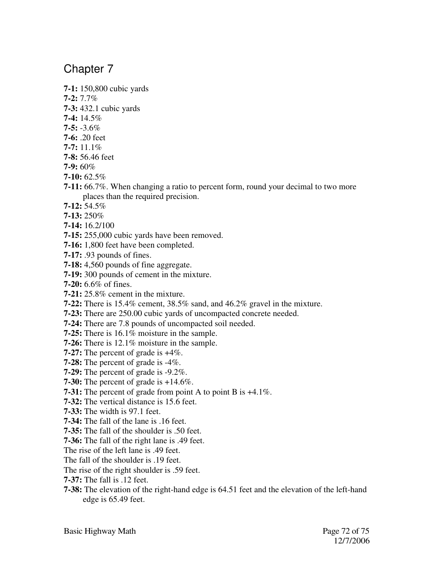**7-1:** 150,800 cubic yards

**7-2:** 7.7%

**7-3:** 432.1 cubic yards

- **7-4:** 14.5%
- **7-5:** -3.6%
- **7-6:** .20 feet
- **7-7:** 11.1%
- **7-8:** 56.46 feet

**7-9:** 60%

- **7-10:** 62.5%
- **7-11:** 66.7%. When changing a ratio to percent form, round your decimal to two more places than the required precision.
- **7-12:** 54.5%
- **7-13:** 250%
- **7-14:** 16.2/100
- **7-15:** 255,000 cubic yards have been removed.
- **7-16:** 1,800 feet have been completed.
- **7-17:** .93 pounds of fines.
- **7-18:** 4,560 pounds of fine aggregate.
- **7-19:** 300 pounds of cement in the mixture.
- **7-20:** 6.6% of fines.
- **7-21:** 25.8% cement in the mixture.
- **7-22:** There is 15.4% cement, 38.5% sand, and 46.2% gravel in the mixture.
- **7-23:** There are 250.00 cubic yards of uncompacted concrete needed.
- **7-24:** There are 7.8 pounds of uncompacted soil needed.
- **7-25:** There is 16.1% moisture in the sample.
- **7-26:** There is 12.1% moisture in the sample.
- **7-27:** The percent of grade is +4%.
- **7-28:** The percent of grade is -4%.
- **7-29:** The percent of grade is -9.2%.
- **7-30:** The percent of grade is +14.6%.
- **7-31:** The percent of grade from point A to point B is +4.1%.
- **7-32:** The vertical distance is 15.6 feet.
- **7-33:** The width is 97.1 feet.
- **7-34:** The fall of the lane is .16 feet.
- **7-35:** The fall of the shoulder is .50 feet.
- **7-36:** The fall of the right lane is .49 feet.
- The rise of the left lane is .49 feet.
- The fall of the shoulder is .19 feet.
- The rise of the right shoulder is .59 feet.
- **7-37:** The fall is .12 feet.
- **7-38:** The elevation of the right-hand edge is 64.51 feet and the elevation of the left-hand edge is 65.49 feet.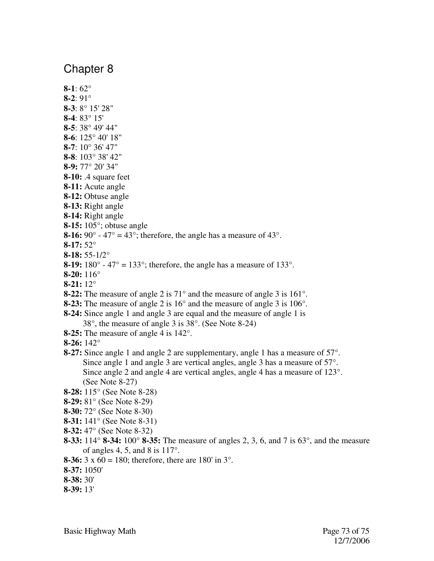## Chapter 8

- **8-1**: 62° **8-2**: 91° **8-3**: 8° 15' 28" **8-4**: 83° 15' **8-5**: 38° 49' 44" **8-6**: 125° 40' 18" **8-7**: 10° 36' 47" **8-8**: 103° 38' 42" **8-9:** 77° 20' 34" **8-10:** .4 square feet **8-11:** Acute angle **8-12:** Obtuse angle **8-13:** Right angle **8-14:** Right angle **8-15:** 105°; obtuse angle **8-16:**  $90^\circ$  -  $47^\circ$  =  $43^\circ$ ; therefore, the angle has a measure of  $43^\circ$ . **8-17:** 52° **8-18:** 55-1/2° **8-19:** 180 $^{\circ}$  - 47 $^{\circ}$  = 133 $^{\circ}$ ; therefore, the angle has a measure of 133 $^{\circ}$ . **8-20:** 116° **8-21:** 12° **8-22:** The measure of angle 2 is 71° and the measure of angle 3 is 161°. **8-23:** The measure of angle 2 is 16° and the measure of angle 3 is 106°. **8-24:** Since angle 1 and angle 3 are equal and the measure of angle 1 is 38°, the measure of angle 3 is 38°. (See Note 8-24) **8-25:** The measure of angle 4 is 142°. **8-26:** 142° **8-27:** Since angle 1 and angle 2 are supplementary, angle 1 has a measure of 57°. Since angle 1 and angle 3 are vertical angles, angle 3 has a measure of 57°. Since angle 2 and angle 4 are vertical angles, angle 4 has a measure of 123°. (See Note 8-27) **8-28:** 115° (See Note 8-28) **8-29:** 81° (See Note 8-29) **8-30:** 72° (See Note 8-30) **8-31:** 141° (See Note 8-31) **8-32:** 47° (See Note 8-32)
- **8-33:** 114° **8-34:** 100° **8-35:** The measure of angles 2, 3, 6, and 7 is 63°, and the measure of angles 4, 5, and 8 is  $117^\circ$ .
- **8-36:** 3 x 60 = 180; therefore, there are 180' in 3°.
- **8-37:** 1050'
- **8-38:** 30'
- **8-39:** 13'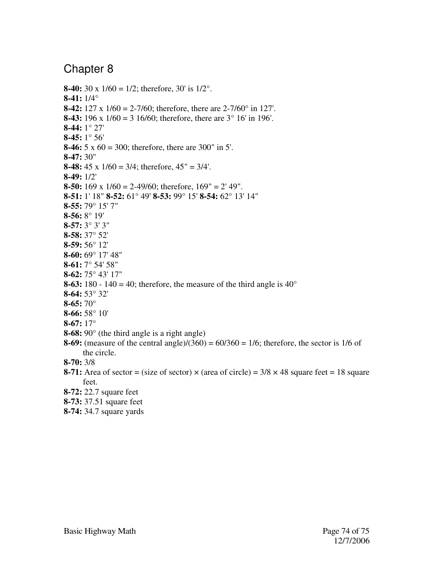## Chapter 8

**8-40:** 30 x 1/60 = 1/2; therefore, 30' is 1/2°. **8-41:** 1/4° **8-42:** 127 x 1/60 = 2-7/60; therefore, there are 2-7/60° in 127'. **8-43:** 196 x 1/60 = 3 16/60; therefore, there are 3° 16' in 196'. **8-44:** 1° 27' **8-45:** 1° 56' **8-46:** 5 x 60 = 300; therefore, there are 300" in 5'. **8-47:** 30" **8-48:** 45 x 1/60 = 3/4; therefore, 45" = 3/4'. **8-49:** 1/2' **8-50:** 169 x 1/60 = 2-49/60; therefore, 169" = 2' 49". **8-51:** 1' 18" **8-52:** 61° 49' **8-53:** 99° 15' **8-54:** 62° 13' 14" **8-55:** 79° 15' 7" **8-56:** 8° 19' **8-57:** 3° 3' 3" **8-58:** 37° 52' **8-59:** 56° 12' **8-60:** 69° 17' 48" **8-61:** 7° 54' 58" **8-62:** 75° 43' 17" **8-63:** 180 - 140 = 40; therefore, the measure of the third angle is 40° **8-64:** 53° 32' **8-65:** 70° **8-66:** 58° 10' **8-67:** 17° **8-68:** 90° (the third angle is a right angle) **8-69:** (measure of the central angle)/(360) =  $60/360 = 1/6$ ; therefore, the sector is 1/6 of the circle. **8-70:** 3/8 **8-71:** Area of sector = (size of sector)  $\times$  (area of circle) =  $3/8 \times 48$  square feet = 18 square feet. **8-72:** 22.7 square feet **8-73:** 37.51 square feet

**8-74:** 34.7 square yards